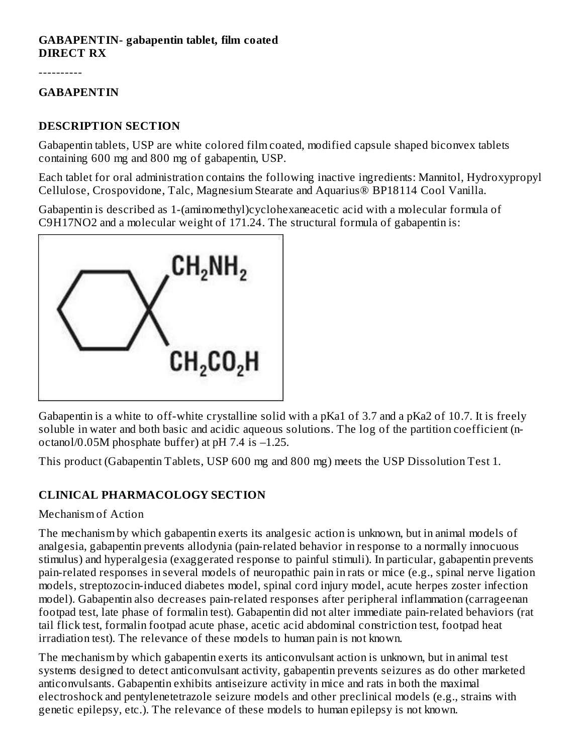#### **GABAPENTIN- gabapentin tablet, film coated DIRECT RX**

----------

#### **GABAPENTIN**

#### **DESCRIPTION SECTION**

Gabapentin tablets, USP are white colored film coated, modified capsule shaped biconvex tablets containing 600 mg and 800 mg of gabapentin, USP.

Each tablet for oral administration contains the following inactive ingredients: Mannitol, Hydroxypropyl Cellulose, Crospovidone, Talc, Magnesium Stearate and Aquarius® BP18114 Cool Vanilla.

Gabapentin is described as 1-(aminomethyl)cyclohexaneacetic acid with a molecular formula of C9H17NO2 and a molecular weight of 171.24. The structural formula of gabapentin is:



Gabapentin is a white to off-white crystalline solid with a pKa1 of 3.7 and a pKa2 of 10.7. It is freely soluble in water and both basic and acidic aqueous solutions. The log of the partition coefficient (noctanol/0.05M phosphate buffer) at pH 7.4 is –1.25.

This product (Gabapentin Tablets, USP 600 mg and 800 mg) meets the USP Dissolution Test 1.

### **CLINICAL PHARMACOLOGY SECTION**

#### Mechanism of Action

The mechanism by which gabapentin exerts its analgesic action is unknown, but in animal models of analgesia, gabapentin prevents allodynia (pain-related behavior in response to a normally innocuous stimulus) and hyperalgesia (exaggerated response to painful stimuli). In particular, gabapentin prevents pain-related responses in several models of neuropathic pain in rats or mice (e.g., spinal nerve ligation models, streptozocin-induced diabetes model, spinal cord injury model, acute herpes zoster infection model). Gabapentin also decreases pain-related responses after peripheral inflammation (carrageenan footpad test, late phase of formalin test). Gabapentin did not alter immediate pain-related behaviors (rat tail flick test, formalin footpad acute phase, acetic acid abdominal constriction test, footpad heat irradiation test). The relevance of these models to human pain is not known.

The mechanism by which gabapentin exerts its anticonvulsant action is unknown, but in animal test systems designed to detect anticonvulsant activity, gabapentin prevents seizures as do other marketed anticonvulsants. Gabapentin exhibits antiseizure activity in mice and rats in both the maximal electroshock and pentylenetetrazole seizure models and other preclinical models (e.g., strains with genetic epilepsy, etc.). The relevance of these models to human epilepsy is not known.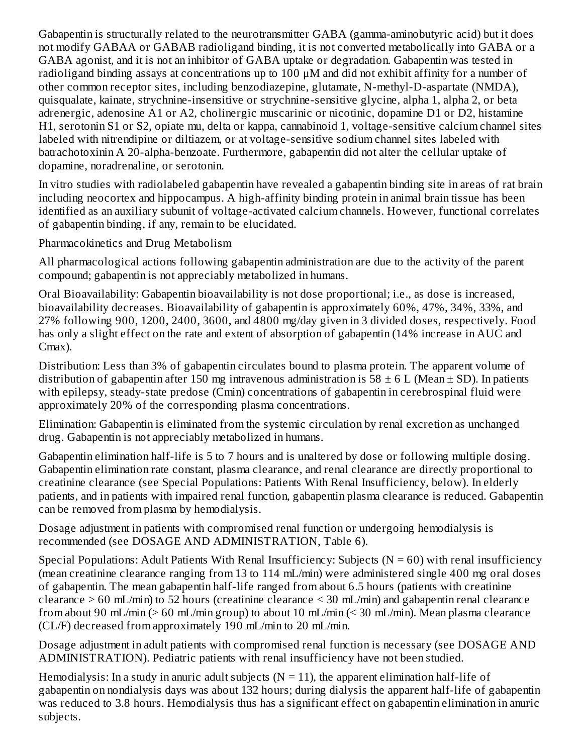Gabapentin is structurally related to the neurotransmitter GABA (gamma-aminobutyric acid) but it does not modify GABAA or GABAB radioligand binding, it is not converted metabolically into GABA or a GABA agonist, and it is not an inhibitor of GABA uptake or degradation. Gabapentin was tested in radioligand binding assays at concentrations up to 100 μM and did not exhibit affinity for a number of other common receptor sites, including benzodiazepine, glutamate, N-methyl-D-aspartate (NMDA), quisqualate, kainate, strychnine-insensitive or strychnine-sensitive glycine, alpha 1, alpha 2, or beta adrenergic, adenosine A1 or A2, cholinergic muscarinic or nicotinic, dopamine D1 or D2, histamine H1, serotonin S1 or S2, opiate mu, delta or kappa, cannabinoid 1, voltage-sensitive calcium channel sites labeled with nitrendipine or diltiazem, or at voltage-sensitive sodium channel sites labeled with batrachotoxinin A 20-alpha-benzoate. Furthermore, gabapentin did not alter the cellular uptake of dopamine, noradrenaline, or serotonin.

In vitro studies with radiolabeled gabapentin have revealed a gabapentin binding site in areas of rat brain including neocortex and hippocampus. A high-affinity binding protein in animal brain tissue has been identified as an auxiliary subunit of voltage-activated calcium channels. However, functional correlates of gabapentin binding, if any, remain to be elucidated.

Pharmacokinetics and Drug Metabolism

All pharmacological actions following gabapentin administration are due to the activity of the parent compound; gabapentin is not appreciably metabolized in humans.

Oral Bioavailability: Gabapentin bioavailability is not dose proportional; i.e., as dose is increased, bioavailability decreases. Bioavailability of gabapentin is approximately 60%, 47%, 34%, 33%, and 27% following 900, 1200, 2400, 3600, and 4800 mg/day given in 3 divided doses, respectively. Food has only a slight effect on the rate and extent of absorption of gabapentin (14% increase in AUC and Cmax).

Distribution: Less than 3% of gabapentin circulates bound to plasma protein. The apparent volume of distribution of gabapentin after 150 mg intravenous administration is 58  $\pm$  6 L (Mean  $\pm$  SD). In patients with epilepsy, steady-state predose (Cmin) concentrations of gabapentin in cerebrospinal fluid were approximately 20% of the corresponding plasma concentrations.

Elimination: Gabapentin is eliminated from the systemic circulation by renal excretion as unchanged drug. Gabapentin is not appreciably metabolized in humans.

Gabapentin elimination half-life is 5 to 7 hours and is unaltered by dose or following multiple dosing. Gabapentin elimination rate constant, plasma clearance, and renal clearance are directly proportional to creatinine clearance (see Special Populations: Patients With Renal Insufficiency, below). In elderly patients, and in patients with impaired renal function, gabapentin plasma clearance is reduced. Gabapentin can be removed from plasma by hemodialysis.

Dosage adjustment in patients with compromised renal function or undergoing hemodialysis is recommended (see DOSAGE AND ADMINISTRATION, Table 6).

Special Populations: Adult Patients With Renal Insufficiency: Subjects ( $N = 60$ ) with renal insufficiency (mean creatinine clearance ranging from 13 to 114 mL/min) were administered single 400 mg oral doses of gabapentin. The mean gabapentin half-life ranged from about 6.5 hours (patients with creatinine clearance > 60 mL/min) to 52 hours (creatinine clearance < 30 mL/min) and gabapentin renal clearance from about 90 mL/min (> 60 mL/min group) to about 10 mL/min (< 30 mL/min). Mean plasma clearance (CL/F) decreased from approximately 190 mL/min to 20 mL/min.

Dosage adjustment in adult patients with compromised renal function is necessary (see DOSAGE AND ADMINISTRATION). Pediatric patients with renal insufficiency have not been studied.

Hemodialysis: In a study in anuric adult subjects  $(N = 11)$ , the apparent elimination half-life of gabapentin on nondialysis days was about 132 hours; during dialysis the apparent half-life of gabapentin was reduced to 3.8 hours. Hemodialysis thus has a significant effect on gabapentin elimination in anuric subjects.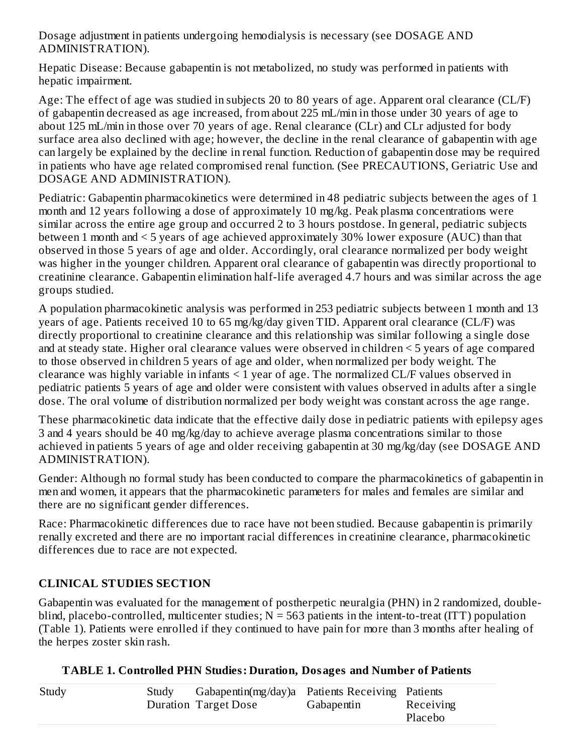Dosage adjustment in patients undergoing hemodialysis is necessary (see DOSAGE AND ADMINISTRATION).

Hepatic Disease: Because gabapentin is not metabolized, no study was performed in patients with hepatic impairment.

Age: The effect of age was studied in subjects 20 to 80 years of age. Apparent oral clearance (CL/F) of gabapentin decreased as age increased, from about 225 mL/min in those under 30 years of age to about 125 mL/min in those over 70 years of age. Renal clearance (CLr) and CLr adjusted for body surface area also declined with age; however, the decline in the renal clearance of gabapentin with age can largely be explained by the decline in renal function. Reduction of gabapentin dose may be required in patients who have age related compromised renal function. (See PRECAUTIONS, Geriatric Use and DOSAGE AND ADMINISTRATION).

Pediatric: Gabapentin pharmacokinetics were determined in 48 pediatric subjects between the ages of 1 month and 12 years following a dose of approximately 10 mg/kg. Peak plasma concentrations were similar across the entire age group and occurred 2 to 3 hours postdose. In general, pediatric subjects between 1 month and < 5 years of age achieved approximately 30% lower exposure (AUC) than that observed in those 5 years of age and older. Accordingly, oral clearance normalized per body weight was higher in the younger children. Apparent oral clearance of gabapentin was directly proportional to creatinine clearance. Gabapentin elimination half-life averaged 4.7 hours and was similar across the age groups studied.

A population pharmacokinetic analysis was performed in 253 pediatric subjects between 1 month and 13 years of age. Patients received 10 to 65 mg/kg/day given TID. Apparent oral clearance (CL/F) was directly proportional to creatinine clearance and this relationship was similar following a single dose and at steady state. Higher oral clearance values were observed in children < 5 years of age compared to those observed in children 5 years of age and older, when normalized per body weight. The clearance was highly variable in infants < 1 year of age. The normalized CL/F values observed in pediatric patients 5 years of age and older were consistent with values observed in adults after a single dose. The oral volume of distribution normalized per body weight was constant across the age range.

These pharmacokinetic data indicate that the effective daily dose in pediatric patients with epilepsy ages 3 and 4 years should be 40 mg/kg/day to achieve average plasma concentrations similar to those achieved in patients 5 years of age and older receiving gabapentin at 30 mg/kg/day (see DOSAGE AND ADMINISTRATION).

Gender: Although no formal study has been conducted to compare the pharmacokinetics of gabapentin in men and women, it appears that the pharmacokinetic parameters for males and females are similar and there are no significant gender differences.

Race: Pharmacokinetic differences due to race have not been studied. Because gabapentin is primarily renally excreted and there are no important racial differences in creatinine clearance, pharmacokinetic differences due to race are not expected.

# **CLINICAL STUDIES SECTION**

Gabapentin was evaluated for the management of postherpetic neuralgia (PHN) in 2 randomized, doubleblind, placebo-controlled, multicenter studies;  $N = 563$  patients in the intent-to-treat (ITT) population (Table 1). Patients were enrolled if they continued to have pain for more than 3 months after healing of the herpes zoster skin rash.

|  |  | <b>TABLE 1. Controlled PHN Studies: Duration, Dosages and Number of Patients</b> |
|--|--|----------------------------------------------------------------------------------|
|  |  |                                                                                  |

| Study | Study | Gabapentin(mg/day)a Patients Receiving Patients |            |           |
|-------|-------|-------------------------------------------------|------------|-----------|
|       |       | Duration Target Dose                            | Gabapentin | Receiving |
|       |       |                                                 |            | Placebo   |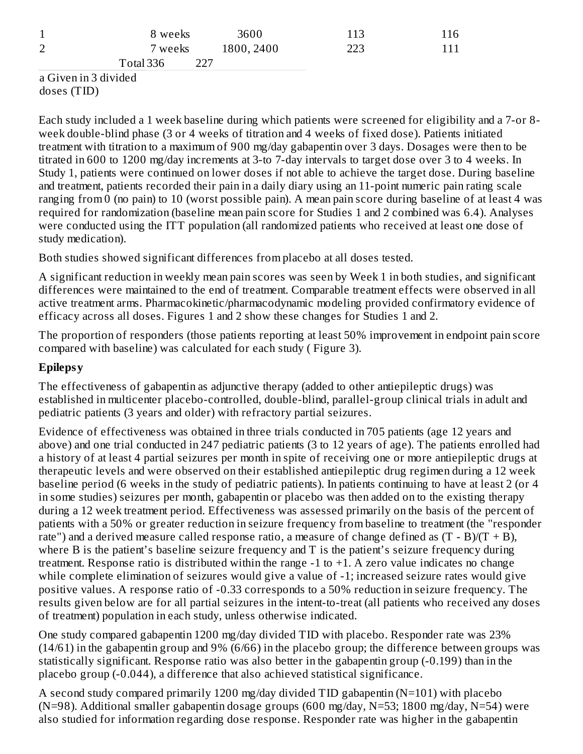| $\mathbf{1}$   | 8 weeks          | 3600       | 113 | 116 |
|----------------|------------------|------------|-----|-----|
| $\overline{2}$ | 7 weeks          | 1800, 2400 | 223 | 111 |
|                | Total 336<br>フフフ |            |     |     |

a Given in 3 divided doses (TID)

Each study included a 1 week baseline during which patients were screened for eligibility and a 7-or 8 week double-blind phase (3 or 4 weeks of titration and 4 weeks of fixed dose). Patients initiated treatment with titration to a maximum of 900 mg/day gabapentin over 3 days. Dosages were then to be titrated in 600 to 1200 mg/day increments at 3-to 7-day intervals to target dose over 3 to 4 weeks. In Study 1, patients were continued on lower doses if not able to achieve the target dose. During baseline and treatment, patients recorded their pain in a daily diary using an 11-point numeric pain rating scale ranging from 0 (no pain) to 10 (worst possible pain). A mean pain score during baseline of at least 4 was required for randomization (baseline mean pain score for Studies 1 and 2 combined was 6.4). Analyses were conducted using the ITT population (all randomized patients who received at least one dose of study medication).

Both studies showed significant differences from placebo at all doses tested.

A significant reduction in weekly mean pain scores was seen by Week 1 in both studies, and significant differences were maintained to the end of treatment. Comparable treatment effects were observed in all active treatment arms. Pharmacokinetic/pharmacodynamic modeling provided confirmatory evidence of efficacy across all doses. Figures 1 and 2 show these changes for Studies 1 and 2.

The proportion of responders (those patients reporting at least 50% improvement in endpoint pain score compared with baseline) was calculated for each study ( Figure 3).

# **Epilepsy**

The effectiveness of gabapentin as adjunctive therapy (added to other antiepileptic drugs) was established in multicenter placebo-controlled, double-blind, parallel-group clinical trials in adult and pediatric patients (3 years and older) with refractory partial seizures.

Evidence of effectiveness was obtained in three trials conducted in 705 patients (age 12 years and above) and one trial conducted in 247 pediatric patients (3 to 12 years of age). The patients enrolled had a history of at least 4 partial seizures per month in spite of receiving one or more antiepileptic drugs at therapeutic levels and were observed on their established antiepileptic drug regimen during a 12 week baseline period (6 weeks in the study of pediatric patients). In patients continuing to have at least 2 (or 4 in some studies) seizures per month, gabapentin or placebo was then added on to the existing therapy during a 12 week treatment period. Effectiveness was assessed primarily on the basis of the percent of patients with a 50% or greater reduction in seizure frequency from baseline to treatment (the "responder rate") and a derived measure called response ratio, a measure of change defined as  $(T - B)/(T + B)$ , where B is the patient's baseline seizure frequency and T is the patient's seizure frequency during treatment. Response ratio is distributed within the range -1 to +1. A zero value indicates no change while complete elimination of seizures would give a value of -1; increased seizure rates would give positive values. A response ratio of -0.33 corresponds to a 50% reduction in seizure frequency. The results given below are for all partial seizures in the intent-to-treat (all patients who received any doses of treatment) population in each study, unless otherwise indicated.

One study compared gabapentin 1200 mg/day divided TID with placebo. Responder rate was 23% (14/61) in the gabapentin group and 9% (6/66) in the placebo group; the difference between groups was statistically significant. Response ratio was also better in the gabapentin group (-0.199) than in the placebo group (-0.044), a difference that also achieved statistical significance.

A second study compared primarily 1200 mg/day divided TID gabapentin (N=101) with placebo (N=98). Additional smaller gabapentin dosage groups (600 mg/day, N=53; 1800 mg/day, N=54) were also studied for information regarding dose response. Responder rate was higher in the gabapentin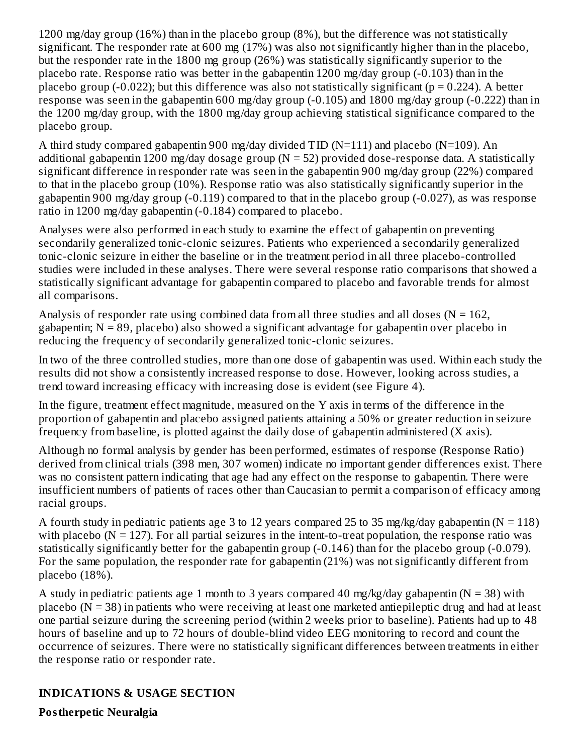1200 mg/day group (16%) than in the placebo group (8%), but the difference was not statistically significant. The responder rate at 600 mg (17%) was also not significantly higher than in the placebo, but the responder rate in the 1800 mg group (26%) was statistically significantly superior to the placebo rate. Response ratio was better in the gabapentin 1200 mg/day group (-0.103) than in the placebo group  $(-0.022)$ ; but this difference was also not statistically significant ( $p = 0.224$ ). A better response was seen in the gabapentin 600 mg/day group (-0.105) and 1800 mg/day group (-0.222) than in the 1200 mg/day group, with the 1800 mg/day group achieving statistical significance compared to the placebo group.

A third study compared gabapentin 900 mg/day divided TID (N=111) and placebo (N=109). An additional gabapentin 1200 mg/day dosage group ( $N = 52$ ) provided dose-response data. A statistically significant difference in responder rate was seen in the gabapentin 900 mg/day group (22%) compared to that in the placebo group (10%). Response ratio was also statistically significantly superior in the gabapentin 900 mg/day group (-0.119) compared to that in the placebo group (-0.027), as was response ratio in 1200 mg/day gabapentin (-0.184) compared to placebo.

Analyses were also performed in each study to examine the effect of gabapentin on preventing secondarily generalized tonic-clonic seizures. Patients who experienced a secondarily generalized tonic-clonic seizure in either the baseline or in the treatment period in all three placebo-controlled studies were included in these analyses. There were several response ratio comparisons that showed a statistically significant advantage for gabapentin compared to placebo and favorable trends for almost all comparisons.

Analysis of responder rate using combined data from all three studies and all doses ( $N = 162$ , gabapentin; N = 89, placebo) also showed a significant advantage for gabapentin over placebo in reducing the frequency of secondarily generalized tonic-clonic seizures.

In two of the three controlled studies, more than one dose of gabapentin was used. Within each study the results did not show a consistently increased response to dose. However, looking across studies, a trend toward increasing efficacy with increasing dose is evident (see Figure 4).

In the figure, treatment effect magnitude, measured on the Y axis in terms of the difference in the proportion of gabapentin and placebo assigned patients attaining a 50% or greater reduction in seizure frequency from baseline, is plotted against the daily dose of gabapentin administered (X axis).

Although no formal analysis by gender has been performed, estimates of response (Response Ratio) derived from clinical trials (398 men, 307 women) indicate no important gender differences exist. There was no consistent pattern indicating that age had any effect on the response to gabapentin. There were insufficient numbers of patients of races other than Caucasian to permit a comparison of efficacy among racial groups.

A fourth study in pediatric patients age 3 to 12 years compared 25 to 35 mg/kg/day gabapentin ( $N = 118$ ) with placebo ( $N = 127$ ). For all partial seizures in the intent-to-treat population, the response ratio was statistically significantly better for the gabapentin group (-0.146) than for the placebo group (-0.079). For the same population, the responder rate for gabapentin (21%) was not significantly different from placebo (18%).

A study in pediatric patients age 1 month to 3 years compared 40 mg/kg/day gabapentin ( $N = 38$ ) with placebo ( $N = 38$ ) in patients who were receiving at least one marketed antiepileptic drug and had at least one partial seizure during the screening period (within 2 weeks prior to baseline). Patients had up to 48 hours of baseline and up to 72 hours of double-blind video EEG monitoring to record and count the occurrence of seizures. There were no statistically significant differences between treatments in either the response ratio or responder rate.

# **INDICATIONS & USAGE SECTION**

**Postherpetic Neuralgia**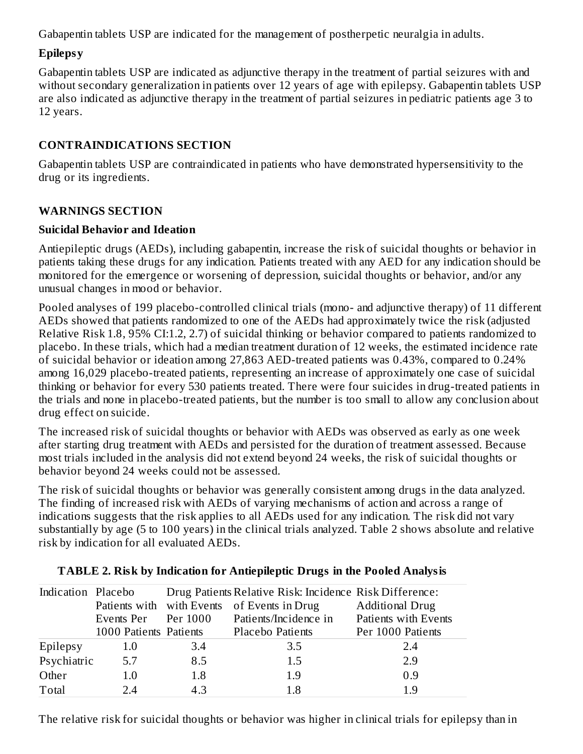Gabapentin tablets USP are indicated for the management of postherpetic neuralgia in adults.

#### **Epilepsy**

Gabapentin tablets USP are indicated as adjunctive therapy in the treatment of partial seizures with and without secondary generalization in patients over 12 years of age with epilepsy. Gabapentin tablets USP are also indicated as adjunctive therapy in the treatment of partial seizures in pediatric patients age 3 to 12 years.

#### **CONTRAINDICATIONS SECTION**

Gabapentin tablets USP are contraindicated in patients who have demonstrated hypersensitivity to the drug or its ingredients.

#### **WARNINGS SECTION**

#### **Suicidal Behavior and Ideation**

Antiepileptic drugs (AEDs), including gabapentin, increase the risk of suicidal thoughts or behavior in patients taking these drugs for any indication. Patients treated with any AED for any indication should be monitored for the emergence or worsening of depression, suicidal thoughts or behavior, and/or any unusual changes in mood or behavior.

Pooled analyses of 199 placebo-controlled clinical trials (mono- and adjunctive therapy) of 11 different AEDs showed that patients randomized to one of the AEDs had approximately twice the risk (adjusted Relative Risk 1.8, 95% CI:1.2, 2.7) of suicidal thinking or behavior compared to patients randomized to placebo. In these trials, which had a median treatment duration of 12 weeks, the estimated incidence rate of suicidal behavior or ideation among 27,863 AED-treated patients was 0.43%, compared to 0.24% among 16,029 placebo-treated patients, representing an increase of approximately one case of suicidal thinking or behavior for every 530 patients treated. There were four suicides in drug-treated patients in the trials and none in placebo-treated patients, but the number is too small to allow any conclusion about drug effect on suicide.

The increased risk of suicidal thoughts or behavior with AEDs was observed as early as one week after starting drug treatment with AEDs and persisted for the duration of treatment assessed. Because most trials included in the analysis did not extend beyond 24 weeks, the risk of suicidal thoughts or behavior beyond 24 weeks could not be assessed.

The risk of suicidal thoughts or behavior was generally consistent among drugs in the data analyzed. The finding of increased risk with AEDs of varying mechanisms of action and across a range of indications suggests that the risk applies to all AEDs used for any indication. The risk did not vary substantially by age (5 to 100 years) in the clinical trials analyzed. Table 2 shows absolute and relative risk by indication for all evaluated AEDs.

| Indication Placebo |                        |          | Drug Patients Relative Risk: Incidence Risk Difference: |                        |
|--------------------|------------------------|----------|---------------------------------------------------------|------------------------|
|                    |                        |          | Patients with with Events of Events in Drug             | <b>Additional Drug</b> |
|                    | Events Per             | Per 1000 | Patients/Incidence in                                   | Patients with Events   |
|                    | 1000 Patients Patients |          | Placebo Patients                                        | Per 1000 Patients      |
| Epilepsy           | 1.0                    | 3.4      | 3.5                                                     | 2.4                    |
| Psychiatric        | 5.7                    | 8.5      | 1.5                                                     | 2.9                    |
| Other              | 1.0                    | 1.8      | 1.9                                                     | 0.9                    |
| Total              | 2.4                    | 4.3      | 1.8                                                     | 1.9                    |

#### **TABLE 2. Risk by Indication for Antiepileptic Drugs in the Pooled Analysis**

The relative risk for suicidal thoughts or behavior was higher in clinical trials for epilepsy than in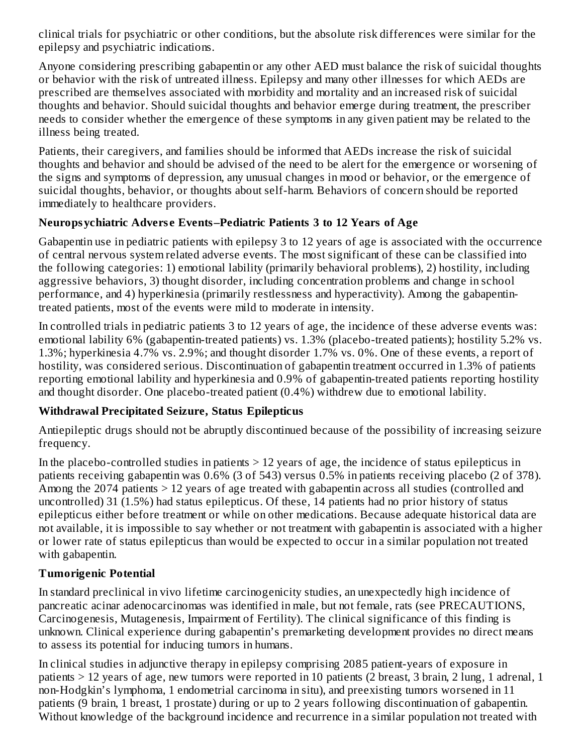clinical trials for psychiatric or other conditions, but the absolute risk differences were similar for the epilepsy and psychiatric indications.

Anyone considering prescribing gabapentin or any other AED must balance the risk of suicidal thoughts or behavior with the risk of untreated illness. Epilepsy and many other illnesses for which AEDs are prescribed are themselves associated with morbidity and mortality and an increased risk of suicidal thoughts and behavior. Should suicidal thoughts and behavior emerge during treatment, the prescriber needs to consider whether the emergence of these symptoms in any given patient may be related to the illness being treated.

Patients, their caregivers, and families should be informed that AEDs increase the risk of suicidal thoughts and behavior and should be advised of the need to be alert for the emergence or worsening of the signs and symptoms of depression, any unusual changes in mood or behavior, or the emergence of suicidal thoughts, behavior, or thoughts about self-harm. Behaviors of concern should be reported immediately to healthcare providers.

# **Neuropsychiatric Advers e Events–Pediatric Patients 3 to 12 Years of Age**

Gabapentin use in pediatric patients with epilepsy 3 to 12 years of age is associated with the occurrence of central nervous system related adverse events. The most significant of these can be classified into the following categories: 1) emotional lability (primarily behavioral problems), 2) hostility, including aggressive behaviors, 3) thought disorder, including concentration problems and change in school performance, and 4) hyperkinesia (primarily restlessness and hyperactivity). Among the gabapentintreated patients, most of the events were mild to moderate in intensity.

In controlled trials in pediatric patients 3 to 12 years of age, the incidence of these adverse events was: emotional lability 6% (gabapentin-treated patients) vs. 1.3% (placebo-treated patients); hostility 5.2% vs. 1.3%; hyperkinesia 4.7% vs. 2.9%; and thought disorder 1.7% vs. 0%. One of these events, a report of hostility, was considered serious. Discontinuation of gabapentin treatment occurred in 1.3% of patients reporting emotional lability and hyperkinesia and 0.9% of gabapentin-treated patients reporting hostility and thought disorder. One placebo-treated patient (0.4%) withdrew due to emotional lability.

# **Withdrawal Precipitated Seizure, Status Epilepticus**

Antiepileptic drugs should not be abruptly discontinued because of the possibility of increasing seizure frequency.

In the placebo-controlled studies in patients  $> 12$  years of age, the incidence of status epilepticus in patients receiving gabapentin was 0.6% (3 of 543) versus 0.5% in patients receiving placebo (2 of 378). Among the 2074 patients > 12 years of age treated with gabapentin across all studies (controlled and uncontrolled) 31 (1.5%) had status epilepticus. Of these, 14 patients had no prior history of status epilepticus either before treatment or while on other medications. Because adequate historical data are not available, it is impossible to say whether or not treatment with gabapentin is associated with a higher or lower rate of status epilepticus than would be expected to occur in a similar population not treated with gabapentin.

# **Tumorigenic Potential**

In standard preclinical in vivo lifetime carcinogenicity studies, an unexpectedly high incidence of pancreatic acinar adenocarcinomas was identified in male, but not female, rats (see PRECAUTIONS, Carcinogenesis, Mutagenesis, Impairment of Fertility). The clinical significance of this finding is unknown. Clinical experience during gabapentin's premarketing development provides no direct means to assess its potential for inducing tumors in humans.

In clinical studies in adjunctive therapy in epilepsy comprising 2085 patient-years of exposure in patients > 12 years of age, new tumors were reported in 10 patients (2 breast, 3 brain, 2 lung, 1 adrenal, 1 non-Hodgkin's lymphoma, 1 endometrial carcinoma in situ), and preexisting tumors worsened in 11 patients (9 brain, 1 breast, 1 prostate) during or up to 2 years following discontinuation of gabapentin. Without knowledge of the background incidence and recurrence in a similar population not treated with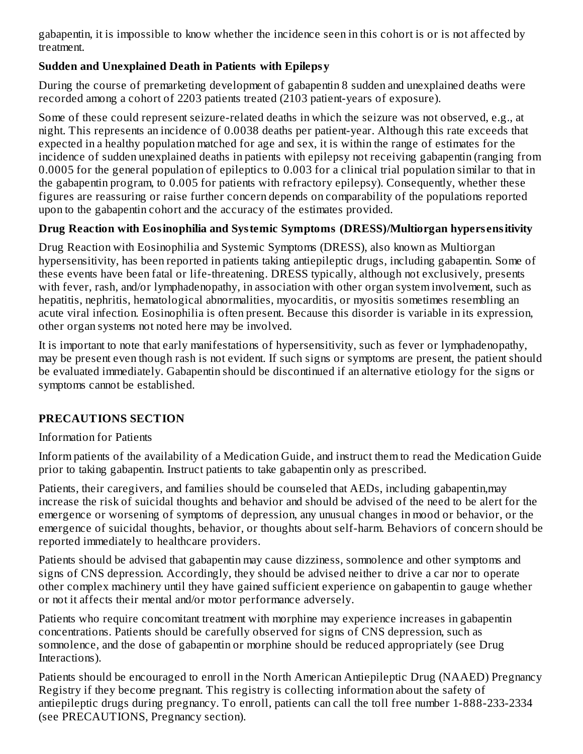gabapentin, it is impossible to know whether the incidence seen in this cohort is or is not affected by treatment.

# **Sudden and Unexplained Death in Patients with Epilepsy**

During the course of premarketing development of gabapentin 8 sudden and unexplained deaths were recorded among a cohort of 2203 patients treated (2103 patient-years of exposure).

Some of these could represent seizure-related deaths in which the seizure was not observed, e.g., at night. This represents an incidence of 0.0038 deaths per patient-year. Although this rate exceeds that expected in a healthy population matched for age and sex, it is within the range of estimates for the incidence of sudden unexplained deaths in patients with epilepsy not receiving gabapentin (ranging from 0.0005 for the general population of epileptics to 0.003 for a clinical trial population similar to that in the gabapentin program, to 0.005 for patients with refractory epilepsy). Consequently, whether these figures are reassuring or raise further concern depends on comparability of the populations reported upon to the gabapentin cohort and the accuracy of the estimates provided.

# **Drug Reaction with Eosinophilia and Systemic Symptoms (DRESS)/Multiorgan hypers ensitivity**

Drug Reaction with Eosinophilia and Systemic Symptoms (DRESS), also known as Multiorgan hypersensitivity, has been reported in patients taking antiepileptic drugs, including gabapentin. Some of these events have been fatal or life-threatening. DRESS typically, although not exclusively, presents with fever, rash, and/or lymphadenopathy, in association with other organ system involvement, such as hepatitis, nephritis, hematological abnormalities, myocarditis, or myositis sometimes resembling an acute viral infection. Eosinophilia is often present. Because this disorder is variable in its expression, other organ systems not noted here may be involved.

It is important to note that early manifestations of hypersensitivity, such as fever or lymphadenopathy, may be present even though rash is not evident. If such signs or symptoms are present, the patient should be evaluated immediately. Gabapentin should be discontinued if an alternative etiology for the signs or symptoms cannot be established.

# **PRECAUTIONS SECTION**

# Information for Patients

Inform patients of the availability of a Medication Guide, and instruct them to read the Medication Guide prior to taking gabapentin. Instruct patients to take gabapentin only as prescribed.

Patients, their caregivers, and families should be counseled that AEDs, including gabapentin,may increase the risk of suicidal thoughts and behavior and should be advised of the need to be alert for the emergence or worsening of symptoms of depression, any unusual changes in mood or behavior, or the emergence of suicidal thoughts, behavior, or thoughts about self-harm. Behaviors of concern should be reported immediately to healthcare providers.

Patients should be advised that gabapentin may cause dizziness, somnolence and other symptoms and signs of CNS depression. Accordingly, they should be advised neither to drive a car nor to operate other complex machinery until they have gained sufficient experience on gabapentin to gauge whether or not it affects their mental and/or motor performance adversely.

Patients who require concomitant treatment with morphine may experience increases in gabapentin concentrations. Patients should be carefully observed for signs of CNS depression, such as somnolence, and the dose of gabapentin or morphine should be reduced appropriately (see Drug Interactions).

Patients should be encouraged to enroll in the North American Antiepileptic Drug (NAAED) Pregnancy Registry if they become pregnant. This registry is collecting information about the safety of antiepileptic drugs during pregnancy. To enroll, patients can call the toll free number 1-888-233-2334 (see PRECAUTIONS, Pregnancy section).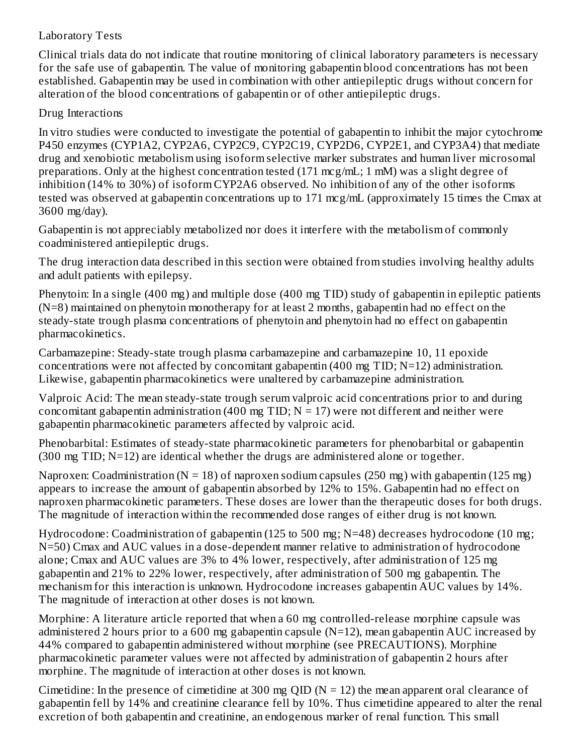## Laboratory Tests

Clinical trials data do not indicate that routine monitoring of clinical laboratory parameters is necessary for the safe use of gabapentin. The value of monitoring gabapentin blood concentrations has not been established. Gabapentin may be used in combination with other antiepileptic drugs without concern for alteration of the blood concentrations of gabapentin or of other antiepileptic drugs.

# Drug Interactions

In vitro studies were conducted to investigate the potential of gabapentin to inhibit the major cytochrome P450 enzymes (CYP1A2, CYP2A6, CYP2C9, CYP2C19, CYP2D6, CYP2E1, and CYP3A4) that mediate drug and xenobiotic metabolism using isoform selective marker substrates and human liver microsomal preparations. Only at the highest concentration tested (171 mcg/mL; 1 mM) was a slight degree of inhibition (14% to 30%) of isoform CYP2A6 observed. No inhibition of any of the other isoforms tested was observed at gabapentin concentrations up to 171 mcg/mL (approximately 15 times the Cmax at 3600 mg/day).

Gabapentin is not appreciably metabolized nor does it interfere with the metabolism of commonly coadministered antiepileptic drugs.

The drug interaction data described in this section were obtained from studies involving healthy adults and adult patients with epilepsy.

Phenytoin: In a single (400 mg) and multiple dose (400 mg TID) study of gabapentin in epileptic patients (N=8) maintained on phenytoin monotherapy for at least 2 months, gabapentin had no effect on the steady-state trough plasma concentrations of phenytoin and phenytoin had no effect on gabapentin pharmacokinetics.

Carbamazepine: Steady-state trough plasma carbamazepine and carbamazepine 10, 11 epoxide concentrations were not affected by concomitant gabapentin (400 mg TID; N=12) administration. Likewise, gabapentin pharmacokinetics were unaltered by carbamazepine administration.

Valproic Acid: The mean steady-state trough serum valproic acid concentrations prior to and during concomitant gabapentin administration (400 mg TID;  $N = 17$ ) were not different and neither were gabapentin pharmacokinetic parameters affected by valproic acid.

Phenobarbital: Estimates of steady-state pharmacokinetic parameters for phenobarbital or gabapentin  $(300 \text{ mg TID}; N=12)$  are identical whether the drugs are administered alone or together.

Naproxen: Coadministration ( $N = 18$ ) of naproxen sodium capsules (250 mg) with gabapentin (125 mg) appears to increase the amount of gabapentin absorbed by 12% to 15%. Gabapentin had no effect on naproxen pharmacokinetic parameters. These doses are lower than the therapeutic doses for both drugs. The magnitude of interaction within the recommended dose ranges of either drug is not known.

Hydrocodone: Coadministration of gabapentin (125 to 500 mg; N=48) decreases hydrocodone (10 mg; N=50) Cmax and AUC values in a dose-dependent manner relative to administration of hydrocodone alone; Cmax and AUC values are 3% to 4% lower, respectively, after administration of 125 mg gabapentin and 21% to 22% lower, respectively, after administration of 500 mg gabapentin. The mechanism for this interaction is unknown. Hydrocodone increases gabapentin AUC values by 14%. The magnitude of interaction at other doses is not known.

Morphine: A literature article reported that when a 60 mg controlled-release morphine capsule was administered 2 hours prior to a 600 mg gabapentin capsule (N=12), mean gabapentin AUC increased by 44% compared to gabapentin administered without morphine (see PRECAUTIONS). Morphine pharmacokinetic parameter values were not affected by administration of gabapentin 2 hours after morphine. The magnitude of interaction at other doses is not known.

Cimetidine: In the presence of cimetidine at 300 mg QID ( $N = 12$ ) the mean apparent oral clearance of gabapentin fell by 14% and creatinine clearance fell by 10%. Thus cimetidine appeared to alter the renal excretion of both gabapentin and creatinine, an endogenous marker of renal function. This small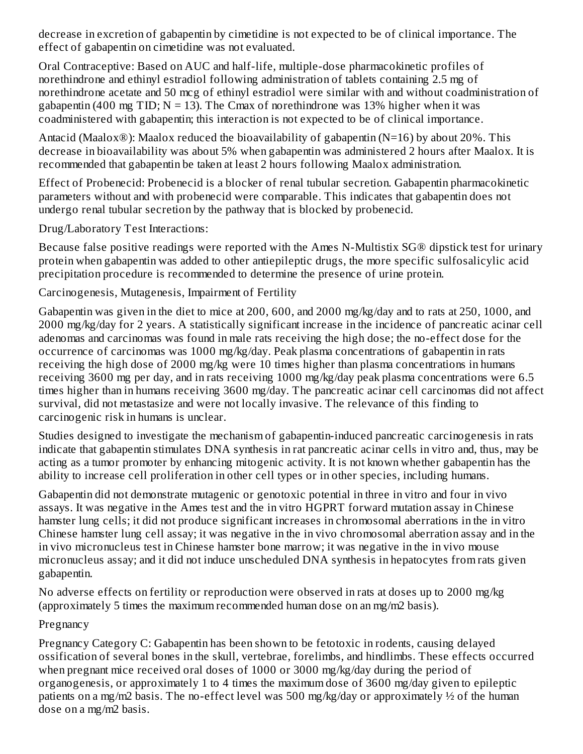decrease in excretion of gabapentin by cimetidine is not expected to be of clinical importance. The effect of gabapentin on cimetidine was not evaluated.

Oral Contraceptive: Based on AUC and half-life, multiple-dose pharmacokinetic profiles of norethindrone and ethinyl estradiol following administration of tablets containing 2.5 mg of norethindrone acetate and 50 mcg of ethinyl estradiol were similar with and without coadministration of gabapentin (400 mg TID;  $N = 13$ ). The Cmax of norethindrone was 13% higher when it was coadministered with gabapentin; this interaction is not expected to be of clinical importance.

Antacid (Maalox®): Maalox reduced the bioavailability of gabapentin (N=16) by about 20%. This decrease in bioavailability was about 5% when gabapentin was administered 2 hours after Maalox. It is recommended that gabapentin be taken at least 2 hours following Maalox administration.

Effect of Probenecid: Probenecid is a blocker of renal tubular secretion. Gabapentin pharmacokinetic parameters without and with probenecid were comparable. This indicates that gabapentin does not undergo renal tubular secretion by the pathway that is blocked by probenecid.

Drug/Laboratory Test Interactions:

Because false positive readings were reported with the Ames N-Multistix SG® dipstick test for urinary protein when gabapentin was added to other antiepileptic drugs, the more specific sulfosalicylic acid precipitation procedure is recommended to determine the presence of urine protein.

Carcinogenesis, Mutagenesis, Impairment of Fertility

Gabapentin was given in the diet to mice at 200, 600, and 2000 mg/kg/day and to rats at 250, 1000, and 2000 mg/kg/day for 2 years. A statistically significant increase in the incidence of pancreatic acinar cell adenomas and carcinomas was found in male rats receiving the high dose; the no-effect dose for the occurrence of carcinomas was 1000 mg/kg/day. Peak plasma concentrations of gabapentin in rats receiving the high dose of 2000 mg/kg were 10 times higher than plasma concentrations in humans receiving 3600 mg per day, and in rats receiving 1000 mg/kg/day peak plasma concentrations were 6.5 times higher than in humans receiving 3600 mg/day. The pancreatic acinar cell carcinomas did not affect survival, did not metastasize and were not locally invasive. The relevance of this finding to carcinogenic risk in humans is unclear.

Studies designed to investigate the mechanism of gabapentin-induced pancreatic carcinogenesis in rats indicate that gabapentin stimulates DNA synthesis in rat pancreatic acinar cells in vitro and, thus, may be acting as a tumor promoter by enhancing mitogenic activity. It is not known whether gabapentin has the ability to increase cell proliferation in other cell types or in other species, including humans.

Gabapentin did not demonstrate mutagenic or genotoxic potential in three in vitro and four in vivo assays. It was negative in the Ames test and the in vitro HGPRT forward mutation assay in Chinese hamster lung cells; it did not produce significant increases in chromosomal aberrations in the in vitro Chinese hamster lung cell assay; it was negative in the in vivo chromosomal aberration assay and in the in vivo micronucleus test in Chinese hamster bone marrow; it was negative in the in vivo mouse micronucleus assay; and it did not induce unscheduled DNA synthesis in hepatocytes from rats given gabapentin.

No adverse effects on fertility or reproduction were observed in rats at doses up to 2000 mg/kg (approximately 5 times the maximum recommended human dose on an mg/m2 basis).

# Pregnancy

Pregnancy Category C: Gabapentin has been shown to be fetotoxic in rodents, causing delayed ossification of several bones in the skull, vertebrae, forelimbs, and hindlimbs. These effects occurred when pregnant mice received oral doses of 1000 or 3000 mg/kg/day during the period of organogenesis, or approximately 1 to 4 times the maximum dose of 3600 mg/day given to epileptic patients on a mg/m2 basis. The no-effect level was 500 mg/kg/day or approximately ½ of the human dose on a mg/m2 basis.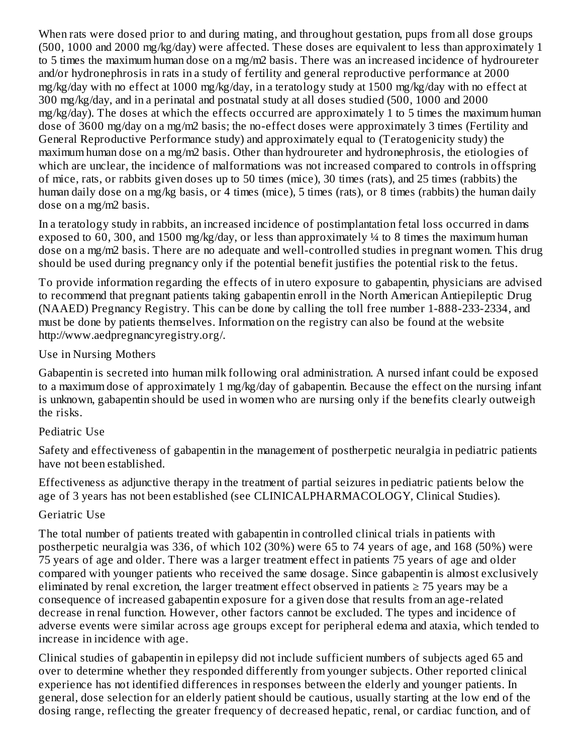When rats were dosed prior to and during mating, and throughout gestation, pups from all dose groups (500, 1000 and 2000 mg/kg/day) were affected. These doses are equivalent to less than approximately 1 to 5 times the maximum human dose on a mg/m2 basis. There was an increased incidence of hydroureter and/or hydronephrosis in rats in a study of fertility and general reproductive performance at 2000 mg/kg/day with no effect at 1000 mg/kg/day, in a teratology study at 1500 mg/kg/day with no effect at 300 mg/kg/day, and in a perinatal and postnatal study at all doses studied (500, 1000 and 2000 mg/kg/day). The doses at which the effects occurred are approximately 1 to 5 times the maximum human dose of 3600 mg/day on a mg/m2 basis; the no-effect doses were approximately 3 times (Fertility and General Reproductive Performance study) and approximately equal to (Teratogenicity study) the maximum human dose on a mg/m2 basis. Other than hydroureter and hydronephrosis, the etiologies of which are unclear, the incidence of malformations was not increased compared to controls in offspring of mice, rats, or rabbits given doses up to 50 times (mice), 30 times (rats), and 25 times (rabbits) the human daily dose on a mg/kg basis, or 4 times (mice), 5 times (rats), or 8 times (rabbits) the human daily dose on a mg/m2 basis.

In a teratology study in rabbits, an increased incidence of postimplantation fetal loss occurred in dams exposed to 60, 300, and 1500 mg/kg/day, or less than approximately ¼ to 8 times the maximum human dose on a mg/m2 basis. There are no adequate and well-controlled studies in pregnant women. This drug should be used during pregnancy only if the potential benefit justifies the potential risk to the fetus.

To provide information regarding the effects of in utero exposure to gabapentin, physicians are advised to recommend that pregnant patients taking gabapentin enroll in the North American Antiepileptic Drug (NAAED) Pregnancy Registry. This can be done by calling the toll free number 1-888-233-2334, and must be done by patients themselves. Information on the registry can also be found at the website http://www.aedpregnancyregistry.org/.

#### Use in Nursing Mothers

Gabapentin is secreted into human milk following oral administration. A nursed infant could be exposed to a maximum dose of approximately 1 mg/kg/day of gabapentin. Because the effect on the nursing infant is unknown, gabapentin should be used in women who are nursing only if the benefits clearly outweigh the risks.

### Pediatric Use

Safety and effectiveness of gabapentin in the management of postherpetic neuralgia in pediatric patients have not been established.

Effectiveness as adjunctive therapy in the treatment of partial seizures in pediatric patients below the age of 3 years has not been established (see CLINICALPHARMACOLOGY, Clinical Studies).

### Geriatric Use

The total number of patients treated with gabapentin in controlled clinical trials in patients with postherpetic neuralgia was 336, of which 102 (30%) were 65 to 74 years of age, and 168 (50%) were 75 years of age and older. There was a larger treatment effect in patients 75 years of age and older compared with younger patients who received the same dosage. Since gabapentin is almost exclusively eliminated by renal excretion, the larger treatment effect observed in patients  $\geq$  75 years may be a consequence of increased gabapentin exposure for a given dose that results from an age-related decrease in renal function. However, other factors cannot be excluded. The types and incidence of adverse events were similar across age groups except for peripheral edema and ataxia, which tended to increase in incidence with age.

Clinical studies of gabapentin in epilepsy did not include sufficient numbers of subjects aged 65 and over to determine whether they responded differently from younger subjects. Other reported clinical experience has not identified differences in responses between the elderly and younger patients. In general, dose selection for an elderly patient should be cautious, usually starting at the low end of the dosing range, reflecting the greater frequency of decreased hepatic, renal, or cardiac function, and of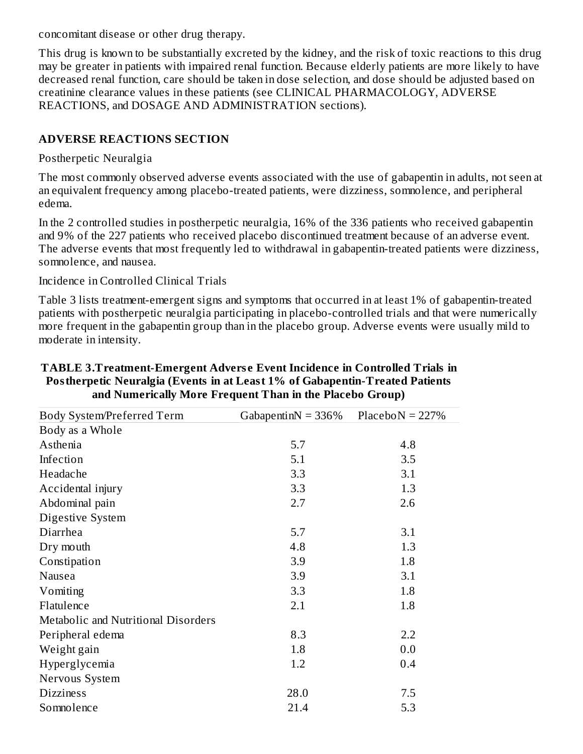concomitant disease or other drug therapy.

This drug is known to be substantially excreted by the kidney, and the risk of toxic reactions to this drug may be greater in patients with impaired renal function. Because elderly patients are more likely to have decreased renal function, care should be taken in dose selection, and dose should be adjusted based on creatinine clearance values in these patients (see CLINICAL PHARMACOLOGY, ADVERSE REACTIONS, and DOSAGE AND ADMINISTRATION sections).

## **ADVERSE REACTIONS SECTION**

#### Postherpetic Neuralgia

The most commonly observed adverse events associated with the use of gabapentin in adults, not seen at an equivalent frequency among placebo-treated patients, were dizziness, somnolence, and peripheral edema.

In the 2 controlled studies in postherpetic neuralgia, 16% of the 336 patients who received gabapentin and 9% of the 227 patients who received placebo discontinued treatment because of an adverse event. The adverse events that most frequently led to withdrawal in gabapentin-treated patients were dizziness, somnolence, and nausea.

#### Incidence in Controlled Clinical Trials

Table 3 lists treatment-emergent signs and symptoms that occurred in at least 1% of gabapentin-treated patients with postherpetic neuralgia participating in placebo-controlled trials and that were numerically more frequent in the gabapentin group than in the placebo group. Adverse events were usually mild to moderate in intensity.

| Body System/Preferred Term          | Gabapentin $N = 336\%$ | PlaceboN = $227%$ |
|-------------------------------------|------------------------|-------------------|
| Body as a Whole                     |                        |                   |
| Asthenia                            | 5.7                    | 4.8               |
| Infection                           | 5.1                    | 3.5               |
| Headache                            | 3.3                    | 3.1               |
| Accidental injury                   | 3.3                    | 1.3               |
| Abdominal pain                      | 2.7                    | 2.6               |
| Digestive System                    |                        |                   |
| Diarrhea                            | 5.7                    | 3.1               |
| Dry mouth                           | 4.8                    | 1.3               |
| Constipation                        | 3.9                    | 1.8               |
| Nausea                              | 3.9                    | 3.1               |
| Vomiting                            | 3.3                    | 1.8               |
| Flatulence                          | 2.1                    | 1.8               |
| Metabolic and Nutritional Disorders |                        |                   |
| Peripheral edema                    | 8.3                    | 2.2               |
| Weight gain                         | 1.8                    | 0.0               |
| Hyperglycemia                       | 1.2                    | 0.4               |
| Nervous System                      |                        |                   |
| <b>Dizziness</b>                    | 28.0                   | 7.5               |
| Somnolence                          | 21.4                   | 5.3               |

#### **TABLE 3.Treatment-Emergent Advers e Event Incidence in Controlled Trials in Postherpetic Neuralgia (Events in at Least 1% of Gabapentin-Treated Patients and Numerically More Frequent Than in the Placebo Group)**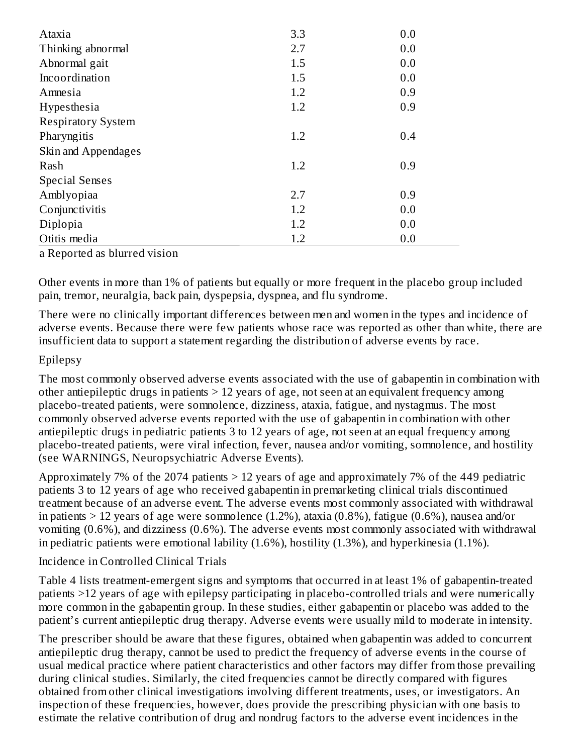| Ataxia                    | 3.3 | 0.0 |
|---------------------------|-----|-----|
| Thinking abnormal         | 2.7 | 0.0 |
| Abnormal gait             | 1.5 | 0.0 |
| Incoordination            | 1.5 | 0.0 |
| Amnesia                   | 1.2 | 0.9 |
| Hypesthesia               | 1.2 | 0.9 |
| <b>Respiratory System</b> |     |     |
| Pharyngitis               | 1.2 | 0.4 |
| Skin and Appendages       |     |     |
| Rash                      | 1.2 | 0.9 |
| <b>Special Senses</b>     |     |     |
| Amblyopiaa                | 2.7 | 0.9 |
| Conjunctivitis            | 1.2 | 0.0 |
| Diplopia                  | 1.2 | 0.0 |
| Otitis media              | 1.2 | 0.0 |

a Reported as blurred vision

Other events in more than 1% of patients but equally or more frequent in the placebo group included pain, tremor, neuralgia, back pain, dyspepsia, dyspnea, and flu syndrome.

There were no clinically important differences between men and women in the types and incidence of adverse events. Because there were few patients whose race was reported as other than white, there are insufficient data to support a statement regarding the distribution of adverse events by race.

### Epilepsy

The most commonly observed adverse events associated with the use of gabapentin in combination with other antiepileptic drugs in patients > 12 years of age, not seen at an equivalent frequency among placebo-treated patients, were somnolence, dizziness, ataxia, fatigue, and nystagmus. The most commonly observed adverse events reported with the use of gabapentin in combination with other antiepileptic drugs in pediatric patients 3 to 12 years of age, not seen at an equal frequency among placebo-treated patients, were viral infection, fever, nausea and/or vomiting, somnolence, and hostility (see WARNINGS, Neuropsychiatric Adverse Events).

Approximately 7% of the 2074 patients > 12 years of age and approximately 7% of the 449 pediatric patients 3 to 12 years of age who received gabapentin in premarketing clinical trials discontinued treatment because of an adverse event. The adverse events most commonly associated with withdrawal in patients  $> 12$  years of age were somnolence (1.2%), ataxia (0.8%), fatigue (0.6%), nausea and/or vomiting (0.6%), and dizziness (0.6%). The adverse events most commonly associated with withdrawal in pediatric patients were emotional lability (1.6%), hostility (1.3%), and hyperkinesia (1.1%).

### Incidence in Controlled Clinical Trials

Table 4 lists treatment-emergent signs and symptoms that occurred in at least 1% of gabapentin-treated patients >12 years of age with epilepsy participating in placebo-controlled trials and were numerically more common in the gabapentin group. In these studies, either gabapentin or placebo was added to the patient's current antiepileptic drug therapy. Adverse events were usually mild to moderate in intensity.

The prescriber should be aware that these figures, obtained when gabapentin was added to concurrent antiepileptic drug therapy, cannot be used to predict the frequency of adverse events in the course of usual medical practice where patient characteristics and other factors may differ from those prevailing during clinical studies. Similarly, the cited frequencies cannot be directly compared with figures obtained from other clinical investigations involving different treatments, uses, or investigators. An inspection of these frequencies, however, does provide the prescribing physician with one basis to estimate the relative contribution of drug and nondrug factors to the adverse event incidences in the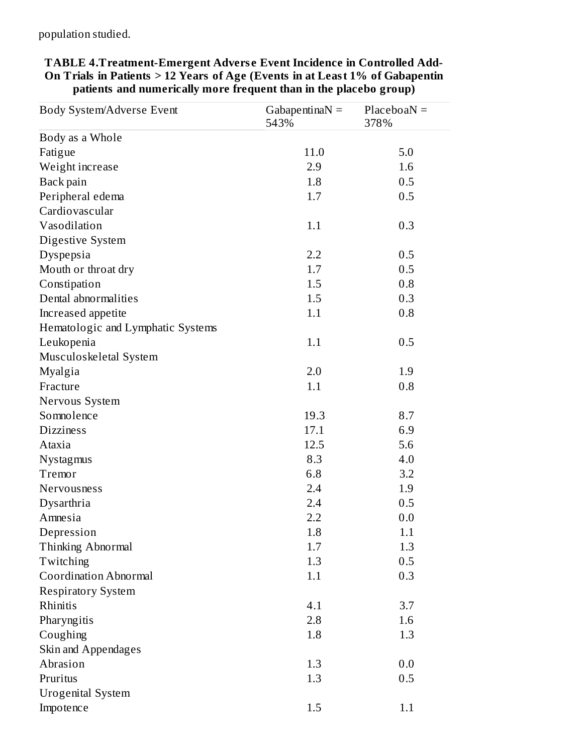population studied.

| Body System/Adverse Event         | Gabapentina $N =$<br>543% | $PlaceboaN =$<br>378% |
|-----------------------------------|---------------------------|-----------------------|
| Body as a Whole                   |                           |                       |
| Fatigue                           | 11.0                      | 5.0                   |
| Weight increase                   | 2.9                       | 1.6                   |
| Back pain                         | 1.8                       | 0.5                   |
| Peripheral edema                  | 1.7                       | 0.5                   |
| Cardiovascular                    |                           |                       |
| Vasodilation                      | 1.1                       | 0.3                   |
| Digestive System                  |                           |                       |
| Dyspepsia                         | 2.2                       | 0.5                   |
| Mouth or throat dry               | 1.7                       | 0.5                   |
| Constipation                      | 1.5                       | 0.8                   |
| Dental abnormalities              | 1.5                       | 0.3                   |
| Increased appetite                | 1.1                       | 0.8                   |
| Hematologic and Lymphatic Systems |                           |                       |
| Leukopenia                        | 1.1                       | 0.5                   |
| Musculoskeletal System            |                           |                       |
| Myalgia                           | 2.0                       | 1.9                   |
| Fracture                          | 1.1                       | 0.8                   |
| Nervous System                    |                           |                       |
| Somnolence                        | 19.3                      | 8.7                   |
| <b>Dizziness</b>                  | 17.1                      | 6.9                   |
| Ataxia                            | 12.5                      | 5.6                   |
| Nystagmus                         | 8.3                       | 4.0                   |
| Tremor                            | 6.8                       | 3.2                   |
| Nervousness                       | 2.4                       | 1.9                   |
| Dysarthria                        | 2.4                       | 0.5                   |
| Amnesia                           | 2.2                       | 0.0                   |
| Depression                        | 1.8                       | 1.1                   |
| Thinking Abnormal                 | 1.7                       | 1.3                   |
| Twitching                         | 1.3                       | 0.5                   |
| <b>Coordination Abnormal</b>      | 1.1                       | 0.3                   |
| <b>Respiratory System</b>         |                           |                       |
| Rhinitis                          | 4.1                       | 3.7                   |
| Pharyngitis                       | 2.8                       | 1.6                   |
| Coughing                          | 1.8                       | 1.3                   |
| Skin and Appendages               |                           |                       |
| Abrasion                          | 1.3                       | 0.0                   |
| Pruritus                          | 1.3                       | 0.5                   |
| <b>Urogenital System</b>          |                           |                       |
| Impotence                         | 1.5                       | 1.1                   |

**TABLE 4.Treatment-Emergent Advers e Event Incidence in Controlled Add-On Trials in Patients > 12 Years of Age (Events in at Least 1% of Gabapentin patients and numerically more frequent than in the placebo group)**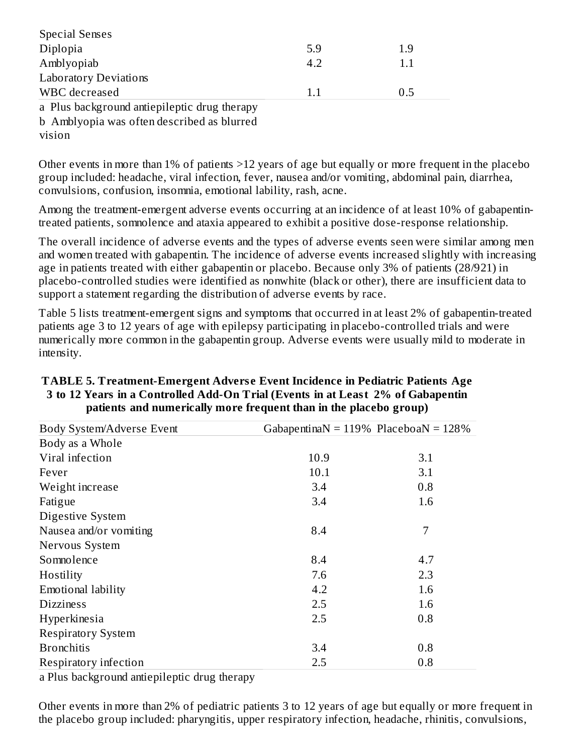| <b>Special Senses</b>                        |     |     |
|----------------------------------------------|-----|-----|
| Diplopia                                     | 5.9 | 1.9 |
| Amblyopiab                                   | 4.2 | 1.1 |
| <b>Laboratory Deviations</b>                 |     |     |
| WBC decreased                                | 1.1 | 0.5 |
| a Plus background antiepileptic drug therapy |     |     |
| h Amblyonia was often described as blurred   |     |     |

buyopia was often described as blurred.

vision

Other events in more than 1% of patients >12 years of age but equally or more frequent in the placebo group included: headache, viral infection, fever, nausea and/or vomiting, abdominal pain, diarrhea, convulsions, confusion, insomnia, emotional lability, rash, acne.

Among the treatment-emergent adverse events occurring at an incidence of at least 10% of gabapentintreated patients, somnolence and ataxia appeared to exhibit a positive dose-response relationship.

The overall incidence of adverse events and the types of adverse events seen were similar among men and women treated with gabapentin. The incidence of adverse events increased slightly with increasing age in patients treated with either gabapentin or placebo. Because only 3% of patients (28/921) in placebo-controlled studies were identified as nonwhite (black or other), there are insufficient data to support a statement regarding the distribution of adverse events by race.

Table 5 lists treatment-emergent signs and symptoms that occurred in at least 2% of gabapentin-treated patients age 3 to 12 years of age with epilepsy participating in placebo-controlled trials and were numerically more common in the gabapentin group. Adverse events were usually mild to moderate in intensity.

| Body System/Adverse Event | Gabapentina $N = 119\%$ Placeboa $N = 128\%$ |     |
|---------------------------|----------------------------------------------|-----|
| Body as a Whole           |                                              |     |
| Viral infection           | 10.9                                         | 3.1 |
| Fever                     | 10.1                                         | 3.1 |
| Weight increase           | 3.4                                          | 0.8 |
| Fatigue                   | 3.4                                          | 1.6 |
| Digestive System          |                                              |     |
| Nausea and/or vomiting    | 8.4                                          | 7   |
| Nervous System            |                                              |     |
| Somnolence                | 8.4                                          | 4.7 |
| Hostility                 | 7.6                                          | 2.3 |
| Emotional lability        | 4.2                                          | 1.6 |
| <b>Dizziness</b>          | 2.5                                          | 1.6 |
| Hyperkinesia              | 2.5                                          | 0.8 |
| <b>Respiratory System</b> |                                              |     |
| <b>Bronchitis</b>         | 3.4                                          | 0.8 |
| Respiratory infection     | 2.5                                          | 0.8 |

#### **TABLE 5. Treatment-Emergent Advers e Event Incidence in Pediatric Patients Age 3 to 12 Years in a Controlled Add-On Trial (Events in at Least 2% of Gabapentin patients and numerically more frequent than in the placebo group)**

a Plus background antiepileptic drug therapy

Other events in more than 2% of pediatric patients 3 to 12 years of age but equally or more frequent in the placebo group included: pharyngitis, upper respiratory infection, headache, rhinitis, convulsions,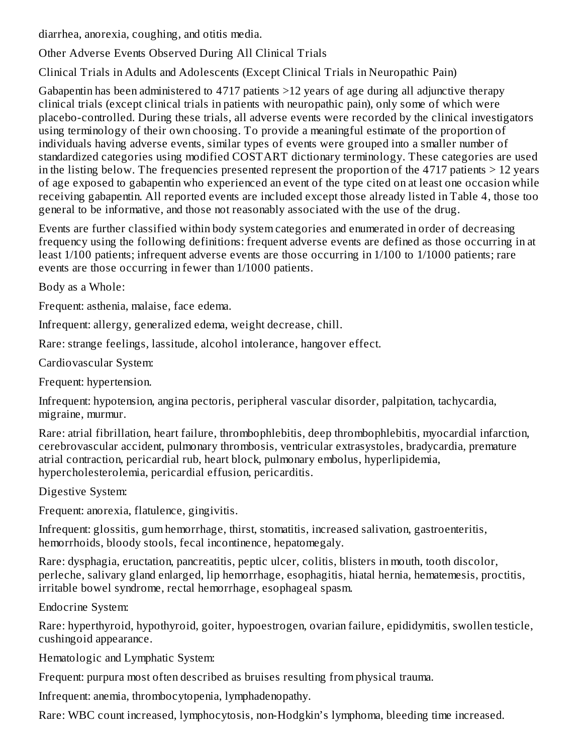diarrhea, anorexia, coughing, and otitis media.

Other Adverse Events Observed During All Clinical Trials

Clinical Trials in Adults and Adolescents (Except Clinical Trials in Neuropathic Pain)

Gabapentin has been administered to 4717 patients >12 years of age during all adjunctive therapy clinical trials (except clinical trials in patients with neuropathic pain), only some of which were placebo-controlled. During these trials, all adverse events were recorded by the clinical investigators using terminology of their own choosing. To provide a meaningful estimate of the proportion of individuals having adverse events, similar types of events were grouped into a smaller number of standardized categories using modified COSTART dictionary terminology. These categories are used in the listing below. The frequencies presented represent the proportion of the 4717 patients  $> 12$  years of age exposed to gabapentin who experienced an event of the type cited on at least one occasion while receiving gabapentin. All reported events are included except those already listed in Table 4, those too general to be informative, and those not reasonably associated with the use of the drug.

Events are further classified within body system categories and enumerated in order of decreasing frequency using the following definitions: frequent adverse events are defined as those occurring in at least 1/100 patients; infrequent adverse events are those occurring in 1/100 to 1/1000 patients; rare events are those occurring in fewer than 1/1000 patients.

Body as a Whole:

Frequent: asthenia, malaise, face edema.

Infrequent: allergy, generalized edema, weight decrease, chill.

Rare: strange feelings, lassitude, alcohol intolerance, hangover effect.

Cardiovascular System:

Frequent: hypertension.

Infrequent: hypotension, angina pectoris, peripheral vascular disorder, palpitation, tachycardia, migraine, murmur.

Rare: atrial fibrillation, heart failure, thrombophlebitis, deep thrombophlebitis, myocardial infarction, cerebrovascular accident, pulmonary thrombosis, ventricular extrasystoles, bradycardia, premature atrial contraction, pericardial rub, heart block, pulmonary embolus, hyperlipidemia, hypercholesterolemia, pericardial effusion, pericarditis.

Digestive System:

Frequent: anorexia, flatulence, gingivitis.

Infrequent: glossitis, gum hemorrhage, thirst, stomatitis, increased salivation, gastroenteritis, hemorrhoids, bloody stools, fecal incontinence, hepatomegaly.

Rare: dysphagia, eructation, pancreatitis, peptic ulcer, colitis, blisters in mouth, tooth discolor, perleche, salivary gland enlarged, lip hemorrhage, esophagitis, hiatal hernia, hematemesis, proctitis, irritable bowel syndrome, rectal hemorrhage, esophageal spasm.

Endocrine System:

Rare: hyperthyroid, hypothyroid, goiter, hypoestrogen, ovarian failure, epididymitis, swollen testicle, cushingoid appearance.

Hematologic and Lymphatic System:

Frequent: purpura most often described as bruises resulting from physical trauma.

Infrequent: anemia, thrombocytopenia, lymphadenopathy.

Rare: WBC count increased, lymphocytosis, non-Hodgkin's lymphoma, bleeding time increased.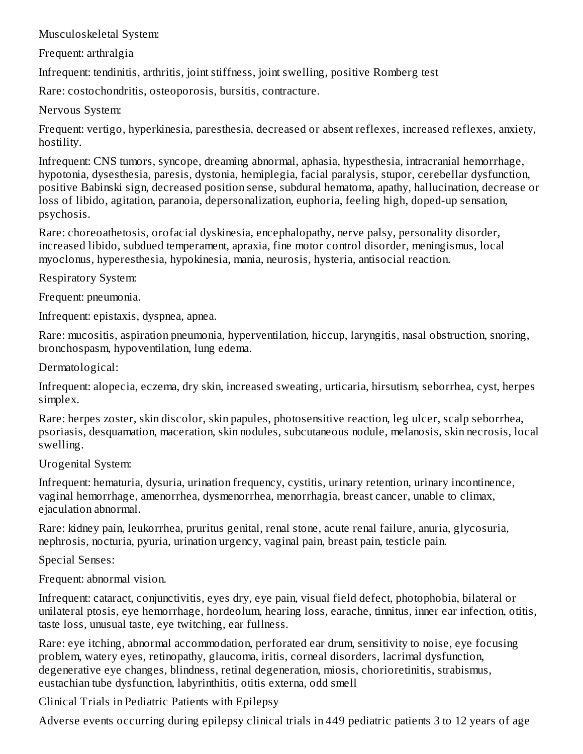Musculoskeletal System:

Frequent: arthralgia

Infrequent: tendinitis, arthritis, joint stiffness, joint swelling, positive Romberg test

Rare: costochondritis, osteoporosis, bursitis, contracture.

Nervous System:

Frequent: vertigo, hyperkinesia, paresthesia, decreased or absent reflexes, increased reflexes, anxiety, hostility.

Infrequent: CNS tumors, syncope, dreaming abnormal, aphasia, hypesthesia, intracranial hemorrhage, hypotonia, dysesthesia, paresis, dystonia, hemiplegia, facial paralysis, stupor, cerebellar dysfunction, positive Babinski sign, decreased position sense, subdural hematoma, apathy, hallucination, decrease or loss of libido, agitation, paranoia, depersonalization, euphoria, feeling high, doped-up sensation, psychosis.

Rare: choreoathetosis, orofacial dyskinesia, encephalopathy, nerve palsy, personality disorder, increased libido, subdued temperament, apraxia, fine motor control disorder, meningismus, local myoclonus, hyperesthesia, hypokinesia, mania, neurosis, hysteria, antisocial reaction.

Respiratory System:

Frequent: pneumonia.

Infrequent: epistaxis, dyspnea, apnea.

Rare: mucositis, aspiration pneumonia, hyperventilation, hiccup, laryngitis, nasal obstruction, snoring, bronchospasm, hypoventilation, lung edema.

Dermatological:

Infrequent: alopecia, eczema, dry skin, increased sweating, urticaria, hirsutism, seborrhea, cyst, herpes simplex.

Rare: herpes zoster, skin discolor, skin papules, photosensitive reaction, leg ulcer, scalp seborrhea, psoriasis, desquamation, maceration, skin nodules, subcutaneous nodule, melanosis, skin necrosis, local swelling.

Urogenital System:

Infrequent: hematuria, dysuria, urination frequency, cystitis, urinary retention, urinary incontinence, vaginal hemorrhage, amenorrhea, dysmenorrhea, menorrhagia, breast cancer, unable to climax, ejaculation abnormal.

Rare: kidney pain, leukorrhea, pruritus genital, renal stone, acute renal failure, anuria, glycosuria, nephrosis, nocturia, pyuria, urination urgency, vaginal pain, breast pain, testicle pain.

Special Senses:

Frequent: abnormal vision.

Infrequent: cataract, conjunctivitis, eyes dry, eye pain, visual field defect, photophobia, bilateral or unilateral ptosis, eye hemorrhage, hordeolum, hearing loss, earache, tinnitus, inner ear infection, otitis, taste loss, unusual taste, eye twitching, ear fullness.

Rare: eye itching, abnormal accommodation, perforated ear drum, sensitivity to noise, eye focusing problem, watery eyes, retinopathy, glaucoma, iritis, corneal disorders, lacrimal dysfunction, degenerative eye changes, blindness, retinal degeneration, miosis, chorioretinitis, strabismus, eustachian tube dysfunction, labyrinthitis, otitis externa, odd smell

Clinical Trials in Pediatric Patients with Epilepsy

Adverse events occurring during epilepsy clinical trials in 449 pediatric patients 3 to 12 years of age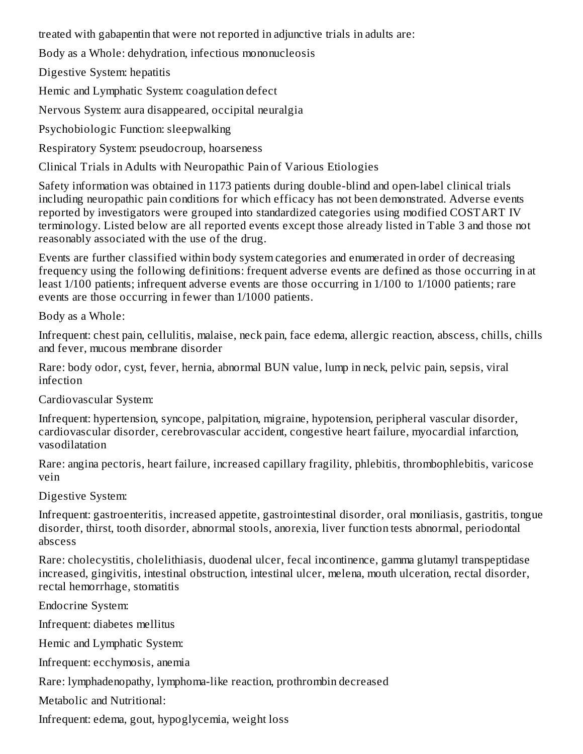treated with gabapentin that were not reported in adjunctive trials in adults are:

Body as a Whole: dehydration, infectious mononucleosis

Digestive System: hepatitis

Hemic and Lymphatic System: coagulation defect

Nervous System: aura disappeared, occipital neuralgia

Psychobiologic Function: sleepwalking

Respiratory System: pseudocroup, hoarseness

Clinical Trials in Adults with Neuropathic Pain of Various Etiologies

Safety information was obtained in 1173 patients during double-blind and open-label clinical trials including neuropathic pain conditions for which efficacy has not been demonstrated. Adverse events reported by investigators were grouped into standardized categories using modified COSTART IV terminology. Listed below are all reported events except those already listed in Table 3 and those not reasonably associated with the use of the drug.

Events are further classified within body system categories and enumerated in order of decreasing frequency using the following definitions: frequent adverse events are defined as those occurring in at least 1/100 patients; infrequent adverse events are those occurring in 1/100 to 1/1000 patients; rare events are those occurring in fewer than 1/1000 patients.

Body as a Whole:

Infrequent: chest pain, cellulitis, malaise, neck pain, face edema, allergic reaction, abscess, chills, chills and fever, mucous membrane disorder

Rare: body odor, cyst, fever, hernia, abnormal BUN value, lump in neck, pelvic pain, sepsis, viral infection

Cardiovascular System:

Infrequent: hypertension, syncope, palpitation, migraine, hypotension, peripheral vascular disorder, cardiovascular disorder, cerebrovascular accident, congestive heart failure, myocardial infarction, vasodilatation

Rare: angina pectoris, heart failure, increased capillary fragility, phlebitis, thrombophlebitis, varicose vein

Digestive System:

Infrequent: gastroenteritis, increased appetite, gastrointestinal disorder, oral moniliasis, gastritis, tongue disorder, thirst, tooth disorder, abnormal stools, anorexia, liver function tests abnormal, periodontal abscess

Rare: cholecystitis, cholelithiasis, duodenal ulcer, fecal incontinence, gamma glutamyl transpeptidase increased, gingivitis, intestinal obstruction, intestinal ulcer, melena, mouth ulceration, rectal disorder, rectal hemorrhage, stomatitis

Endocrine System:

Infrequent: diabetes mellitus

Hemic and Lymphatic System:

Infrequent: ecchymosis, anemia

Rare: lymphadenopathy, lymphoma-like reaction, prothrombin decreased

Metabolic and Nutritional:

Infrequent: edema, gout, hypoglycemia, weight loss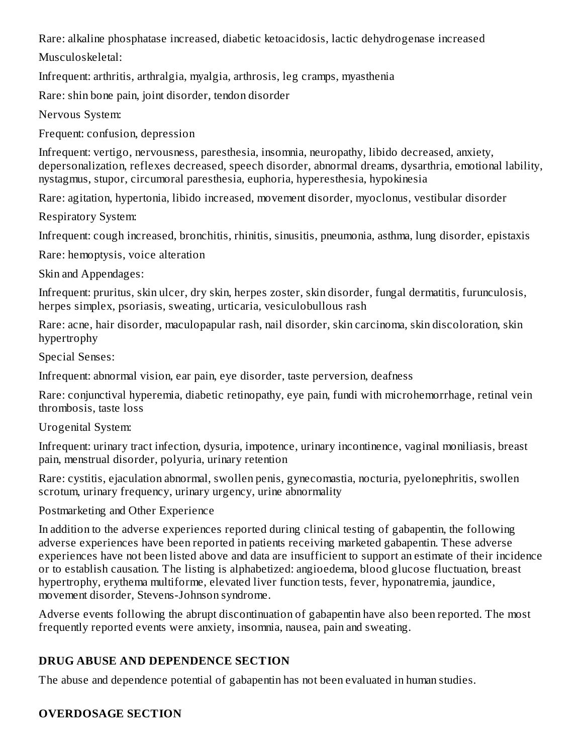Rare: alkaline phosphatase increased, diabetic ketoacidosis, lactic dehydrogenase increased

Musculoskeletal:

Infrequent: arthritis, arthralgia, myalgia, arthrosis, leg cramps, myasthenia

Rare: shin bone pain, joint disorder, tendon disorder

Nervous System:

Frequent: confusion, depression

Infrequent: vertigo, nervousness, paresthesia, insomnia, neuropathy, libido decreased, anxiety, depersonalization, reflexes decreased, speech disorder, abnormal dreams, dysarthria, emotional lability, nystagmus, stupor, circumoral paresthesia, euphoria, hyperesthesia, hypokinesia

Rare: agitation, hypertonia, libido increased, movement disorder, myoclonus, vestibular disorder

Respiratory System:

Infrequent: cough increased, bronchitis, rhinitis, sinusitis, pneumonia, asthma, lung disorder, epistaxis

Rare: hemoptysis, voice alteration

Skin and Appendages:

Infrequent: pruritus, skin ulcer, dry skin, herpes zoster, skin disorder, fungal dermatitis, furunculosis, herpes simplex, psoriasis, sweating, urticaria, vesiculobullous rash

Rare: acne, hair disorder, maculopapular rash, nail disorder, skin carcinoma, skin discoloration, skin hypertrophy

Special Senses:

Infrequent: abnormal vision, ear pain, eye disorder, taste perversion, deafness

Rare: conjunctival hyperemia, diabetic retinopathy, eye pain, fundi with microhemorrhage, retinal vein thrombosis, taste loss

# Urogenital System:

Infrequent: urinary tract infection, dysuria, impotence, urinary incontinence, vaginal moniliasis, breast pain, menstrual disorder, polyuria, urinary retention

Rare: cystitis, ejaculation abnormal, swollen penis, gynecomastia, nocturia, pyelonephritis, swollen scrotum, urinary frequency, urinary urgency, urine abnormality

Postmarketing and Other Experience

In addition to the adverse experiences reported during clinical testing of gabapentin, the following adverse experiences have been reported in patients receiving marketed gabapentin. These adverse experiences have not been listed above and data are insufficient to support an estimate of their incidence or to establish causation. The listing is alphabetized: angioedema, blood glucose fluctuation, breast hypertrophy, erythema multiforme, elevated liver function tests, fever, hyponatremia, jaundice, movement disorder, Stevens-Johnson syndrome.

Adverse events following the abrupt discontinuation of gabapentin have also been reported. The most frequently reported events were anxiety, insomnia, nausea, pain and sweating.

# **DRUG ABUSE AND DEPENDENCE SECTION**

The abuse and dependence potential of gabapentin has not been evaluated in human studies.

# **OVERDOSAGE SECTION**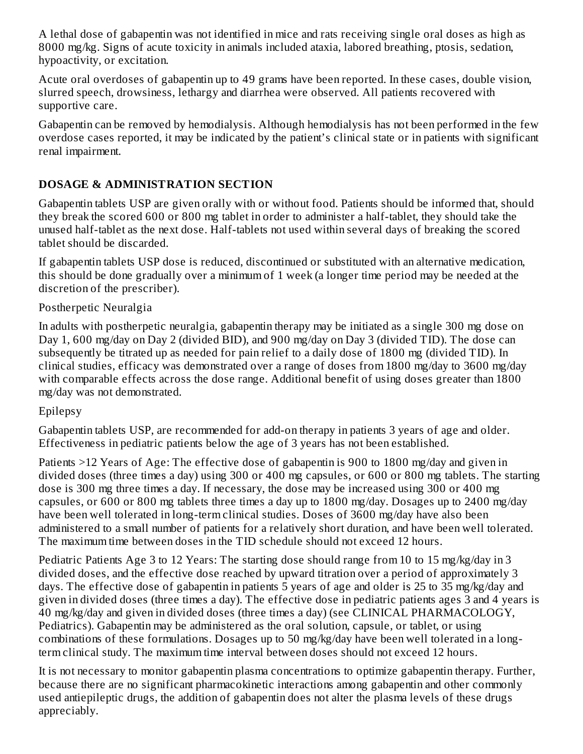A lethal dose of gabapentin was not identified in mice and rats receiving single oral doses as high as 8000 mg/kg. Signs of acute toxicity in animals included ataxia, labored breathing, ptosis, sedation, hypoactivity, or excitation.

Acute oral overdoses of gabapentin up to 49 grams have been reported. In these cases, double vision, slurred speech, drowsiness, lethargy and diarrhea were observed. All patients recovered with supportive care.

Gabapentin can be removed by hemodialysis. Although hemodialysis has not been performed in the few overdose cases reported, it may be indicated by the patient's clinical state or in patients with significant renal impairment.

# **DOSAGE & ADMINISTRATION SECTION**

Gabapentin tablets USP are given orally with or without food. Patients should be informed that, should they break the scored 600 or 800 mg tablet in order to administer a half-tablet, they should take the unused half-tablet as the next dose. Half-tablets not used within several days of breaking the scored tablet should be discarded.

If gabapentin tablets USP dose is reduced, discontinued or substituted with an alternative medication, this should be done gradually over a minimum of 1 week (a longer time period may be needed at the discretion of the prescriber).

## Postherpetic Neuralgia

In adults with postherpetic neuralgia, gabapentin therapy may be initiated as a single 300 mg dose on Day 1, 600 mg/day on Day 2 (divided BID), and 900 mg/day on Day 3 (divided TID). The dose can subsequently be titrated up as needed for pain relief to a daily dose of 1800 mg (divided TID). In clinical studies, efficacy was demonstrated over a range of doses from 1800 mg/day to 3600 mg/day with comparable effects across the dose range. Additional benefit of using doses greater than 1800 mg/day was not demonstrated.

### Epilepsy

Gabapentin tablets USP, are recommended for add-on therapy in patients 3 years of age and older. Effectiveness in pediatric patients below the age of 3 years has not been established.

Patients >12 Years of Age: The effective dose of gabapentin is 900 to 1800 mg/day and given in divided doses (three times a day) using 300 or 400 mg capsules, or 600 or 800 mg tablets. The starting dose is 300 mg three times a day. If necessary, the dose may be increased using 300 or 400 mg capsules, or 600 or 800 mg tablets three times a day up to 1800 mg/day. Dosages up to 2400 mg/day have been well tolerated in long-term clinical studies. Doses of 3600 mg/day have also been administered to a small number of patients for a relatively short duration, and have been well tolerated. The maximum time between doses in the TID schedule should not exceed 12 hours.

Pediatric Patients Age 3 to 12 Years: The starting dose should range from 10 to 15 mg/kg/day in 3 divided doses, and the effective dose reached by upward titration over a period of approximately 3 days. The effective dose of gabapentin in patients 5 years of age and older is 25 to 35 mg/kg/day and given in divided doses (three times a day). The effective dose in pediatric patients ages 3 and 4 years is 40 mg/kg/day and given in divided doses (three times a day) (see CLINICAL PHARMACOLOGY, Pediatrics). Gabapentin may be administered as the oral solution, capsule, or tablet, or using combinations of these formulations. Dosages up to 50 mg/kg/day have been well tolerated in a longterm clinical study. The maximum time interval between doses should not exceed 12 hours.

It is not necessary to monitor gabapentin plasma concentrations to optimize gabapentin therapy. Further, because there are no significant pharmacokinetic interactions among gabapentin and other commonly used antiepileptic drugs, the addition of gabapentin does not alter the plasma levels of these drugs appreciably.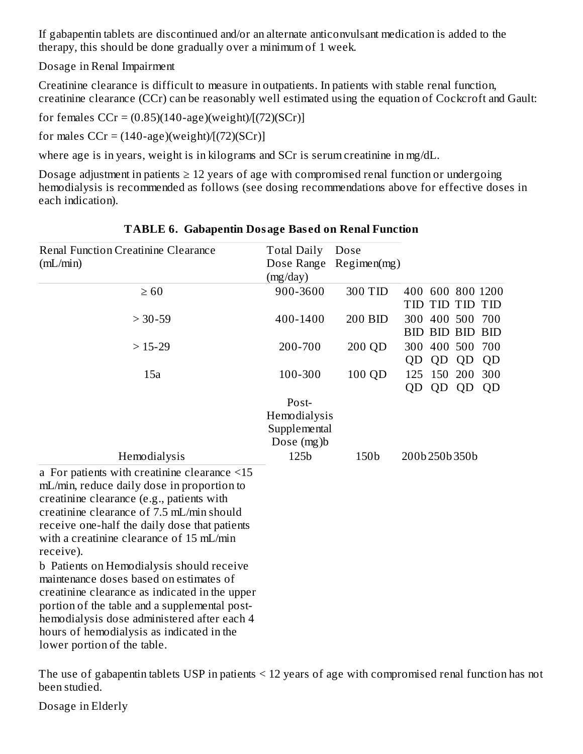If gabapentin tablets are discontinued and/or an alternate anticonvulsant medication is added to the therapy, this should be done gradually over a minimum of 1 week.

Dosage in Renal Impairment

Creatinine clearance is difficult to measure in outpatients. In patients with stable renal function, creatinine clearance (CCr) can be reasonably well estimated using the equation of Cockcroft and Gault:

for females  $CCr = (0.85)(140 - age)(weight)/(72)(SCr)$ 

for males  $CCr = (140 \text{-age})(weight)/(72)(SCr)$ 

where age is in years, weight is in kilograms and SCr is serum creatinine in mg/dL.

Dosage adjustment in patients  $\geq 12$  years of age with compromised renal function or undergoing hemodialysis is recommended as follows (see dosing recommendations above for effective doses in each indication).

| <b>Renal Function Creatinine Clearance</b><br>(mL/min)                                                                                                                                                                                                                                                             | <b>Total Daily</b><br>Dose Range<br>(mg/day)        | Dose<br>Regimen(mg) |           |                                   |    |                   |
|--------------------------------------------------------------------------------------------------------------------------------------------------------------------------------------------------------------------------------------------------------------------------------------------------------------------|-----------------------------------------------------|---------------------|-----------|-----------------------------------|----|-------------------|
| $\geq 60$                                                                                                                                                                                                                                                                                                          | 900-3600                                            | 300 TID             |           | TID TID TID TID                   |    | 400 600 800 1200  |
| $> 30 - 59$                                                                                                                                                                                                                                                                                                        | 400-1400                                            | 200 BID             |           | 300 400 500<br><b>BID BID BID</b> |    | 700<br><b>BID</b> |
| $>15-29$                                                                                                                                                                                                                                                                                                           | 200-700                                             | 200 QD              | QD        | 300 400 500<br>QD                 | QD | 700<br>QD         |
| 15a                                                                                                                                                                                                                                                                                                                | 100-300                                             | 100 QD              | 125<br>QD | 150 200<br>QD                     | QD | 300<br>QD         |
|                                                                                                                                                                                                                                                                                                                    | Post-<br>Hemodialysis<br>Supplemental<br>Dose (mg)b |                     |           |                                   |    |                   |
| Hemodialysis                                                                                                                                                                                                                                                                                                       | 125b                                                | 150b                |           | 200b 250b 350b                    |    |                   |
| a For patients with creatinine clearance $\leq 15$<br>mL/min, reduce daily dose in proportion to<br>creatinine clearance (e.g., patients with<br>creatinine clearance of 7.5 mL/min should<br>receive one-half the daily dose that patients<br>with a creatinine clearance of 15 mL/min<br>receive).               |                                                     |                     |           |                                   |    |                   |
| b Patients on Hemodialysis should receive<br>maintenance doses based on estimates of<br>creatinine clearance as indicated in the upper<br>portion of the table and a supplemental post-<br>hemodialysis dose administered after each 4<br>hours of hemodialysis as indicated in the<br>lower portion of the table. |                                                     |                     |           |                                   |    |                   |

#### **TABLE 6. Gabapentin Dosage Bas ed on Renal Function**

The use of gabapentin tablets USP in patients < 12 years of age with compromised renal function has not been studied.

Dosage in Elderly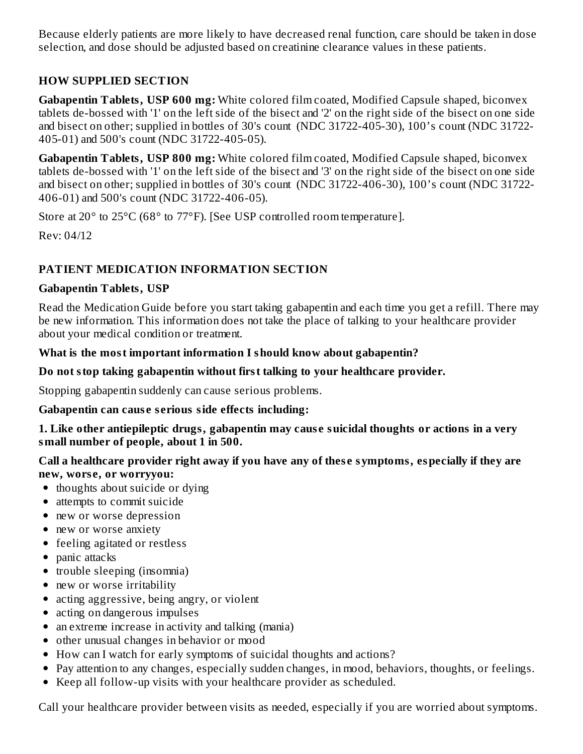Because elderly patients are more likely to have decreased renal function, care should be taken in dose selection, and dose should be adjusted based on creatinine clearance values in these patients.

# **HOW SUPPLIED SECTION**

**Gabapentin Tablets, USP 600 mg:** White colored film coated, Modified Capsule shaped, biconvex tablets de-bossed with '1' on the left side of the bisect and '2' on the right side of the bisect on one side and bisect on other; supplied in bottles of 30's count (NDC 31722-405-30), 100's count (NDC 31722- 405-01) and 500's count (NDC 31722-405-05).

**Gabapentin Tablets, USP 800 mg:** White colored film coated, Modified Capsule shaped, biconvex tablets de-bossed with '1' on the left side of the bisect and '3' on the right side of the bisect on one side and bisect on other; supplied in bottles of 30's count (NDC 31722-406-30), 100's count (NDC 31722- 406-01) and 500's count (NDC 31722-406-05).

Store at 20° to 25°C (68° to 77°F). [See USP controlled room temperature].

Rev: 04/12

# **PATIENT MEDICATION INFORMATION SECTION**

### **Gabapentin Tablets, USP**

Read the Medication Guide before you start taking gabapentin and each time you get a refill. There may be new information. This information does not take the place of talking to your healthcare provider about your medical condition or treatment.

## **What is the most important information I should know about gabapentin?**

## **Do not stop taking gabapentin without first talking to your healthcare provider.**

Stopping gabapentin suddenly can cause serious problems.

### **Gabapentin can caus e s erious side effects including:**

**1. Like other antiepileptic drugs, gabapentin may caus e suicidal thoughts or actions in a very small number of people, about 1 in 500.**

**Call a healthcare provider right away if you have any of thes e symptoms, especially if they are new, wors e, or worryyou:**

- thoughts about suicide or dying
- attempts to commit suicide
- new or worse depression
- new or worse anxiety
- feeling agitated or restless
- panic attacks
- trouble sleeping (insomnia)
- new or worse irritability
- acting aggressive, being angry, or violent
- acting on dangerous impulses
- an extreme increase in activity and talking (mania)
- other unusual changes in behavior or mood
- How can I watch for early symptoms of suicidal thoughts and actions?
- Pay attention to any changes, especially sudden changes, in mood, behaviors, thoughts, or feelings.
- Keep all follow-up visits with your healthcare provider as scheduled.

Call your healthcare provider between visits as needed, especially if you are worried about symptoms.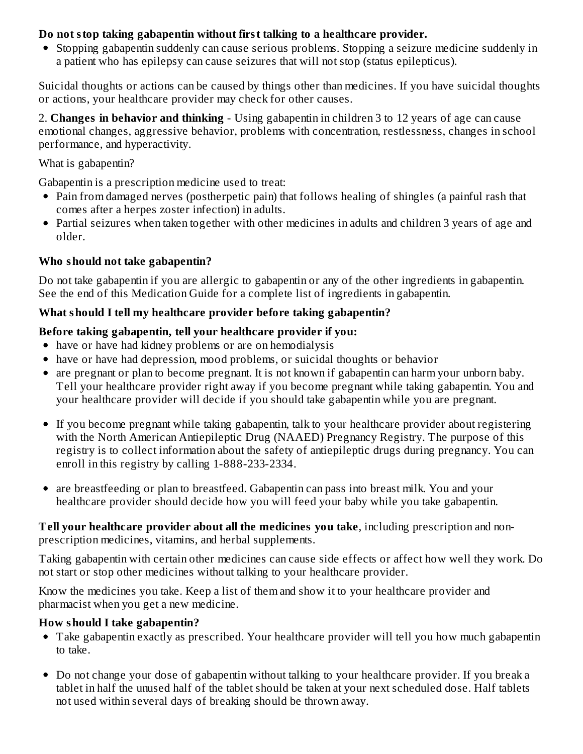## **Do not stop taking gabapentin without first talking to a healthcare provider.**

Stopping gabapentin suddenly can cause serious problems. Stopping a seizure medicine suddenly in a patient who has epilepsy can cause seizures that will not stop (status epilepticus).

Suicidal thoughts or actions can be caused by things other than medicines. If you have suicidal thoughts or actions, your healthcare provider may check for other causes.

2. **Changes in behavior and thinking** - Using gabapentin in children 3 to 12 years of age can cause emotional changes, aggressive behavior, problems with concentration, restlessness, changes in school performance, and hyperactivity.

### What is gabapentin?

Gabapentin is a prescription medicine used to treat:

- Pain from damaged nerves (postherpetic pain) that follows healing of shingles (a painful rash that comes after a herpes zoster infection) in adults.
- Partial seizures when taken together with other medicines in adults and children 3 years of age and older.

## **Who should not take gabapentin?**

Do not take gabapentin if you are allergic to gabapentin or any of the other ingredients in gabapentin. See the end of this Medication Guide for a complete list of ingredients in gabapentin.

### **What should I tell my healthcare provider before taking gabapentin?**

## **Before taking gabapentin, tell your healthcare provider if you:**

- have or have had kidney problems or are on hemodialysis
- have or have had depression, mood problems, or suicidal thoughts or behavior
- are pregnant or plan to become pregnant. It is not known if gabapentin can harm your unborn baby. Tell your healthcare provider right away if you become pregnant while taking gabapentin. You and your healthcare provider will decide if you should take gabapentin while you are pregnant.
- If you become pregnant while taking gabapentin, talk to your healthcare provider about registering with the North American Antiepileptic Drug (NAAED) Pregnancy Registry. The purpose of this registry is to collect information about the safety of antiepileptic drugs during pregnancy. You can enroll in this registry by calling 1-888-233-2334.
- are breastfeeding or plan to breastfeed. Gabapentin can pass into breast milk. You and your healthcare provider should decide how you will feed your baby while you take gabapentin.

**Tell your healthcare provider about all the medicines you take**, including prescription and nonprescription medicines, vitamins, and herbal supplements.

Taking gabapentin with certain other medicines can cause side effects or affect how well they work. Do not start or stop other medicines without talking to your healthcare provider.

Know the medicines you take. Keep a list of them and show it to your healthcare provider and pharmacist when you get a new medicine.

### **How should I take gabapentin?**

- Take gabapentin exactly as prescribed. Your healthcare provider will tell you how much gabapentin to take.
- Do not change your dose of gabapentin without talking to your healthcare provider. If you break a tablet in half the unused half of the tablet should be taken at your next scheduled dose. Half tablets not used within several days of breaking should be thrown away.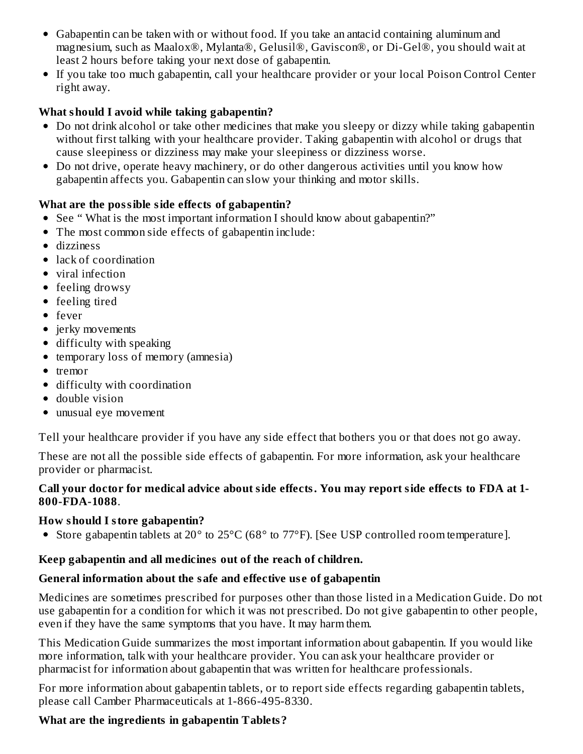- Gabapentin can be taken with or without food. If you take an antacid containing aluminum and magnesium, such as Maalox®, Mylanta®, Gelusil®, Gaviscon®, or Di-Gel®, you should wait at least 2 hours before taking your next dose of gabapentin.
- If you take too much gabapentin, call your healthcare provider or your local Poison Control Center right away.

# **What should I avoid while taking gabapentin?**

- Do not drink alcohol or take other medicines that make you sleepy or dizzy while taking gabapentin without first talking with your healthcare provider. Taking gabapentin with alcohol or drugs that cause sleepiness or dizziness may make your sleepiness or dizziness worse.
- Do not drive, operate heavy machinery, or do other dangerous activities until you know how gabapentin affects you. Gabapentin can slow your thinking and motor skills.

# **What are the possible side effects of gabapentin?**

- See " What is the most important information I should know about gabapentin?"
- The most common side effects of gabapentin include:
- dizziness
- lack of coordination
- viral infection
- feeling drowsy
- feeling tired
- fever
- jerky movements
- difficulty with speaking
- temporary loss of memory (amnesia)
- tremor
- difficulty with coordination
- double vision
- unusual eye movement

Tell your healthcare provider if you have any side effect that bothers you or that does not go away.

These are not all the possible side effects of gabapentin. For more information, ask your healthcare provider or pharmacist.

## **Call your doctor for medical advice about side effects. You may report side effects to FDA at 1- 800-FDA-1088**.

# **How should I store gabapentin?**

• Store gabapentin tablets at 20° to 25°C (68° to 77°F). [See USP controlled room temperature].

# **Keep gabapentin and all medicines out of the reach of children.**

# **General information about the safe and effective us e of gabapentin**

Medicines are sometimes prescribed for purposes other than those listed in a Medication Guide. Do not use gabapentin for a condition for which it was not prescribed. Do not give gabapentin to other people, even if they have the same symptoms that you have. It may harm them.

This Medication Guide summarizes the most important information about gabapentin. If you would like more information, talk with your healthcare provider. You can ask your healthcare provider or pharmacist for information about gabapentin that was written for healthcare professionals.

For more information about gabapentin tablets, or to report side effects regarding gabapentin tablets, please call Camber Pharmaceuticals at 1-866-495-8330.

# **What are the ingredients in gabapentin Tablets?**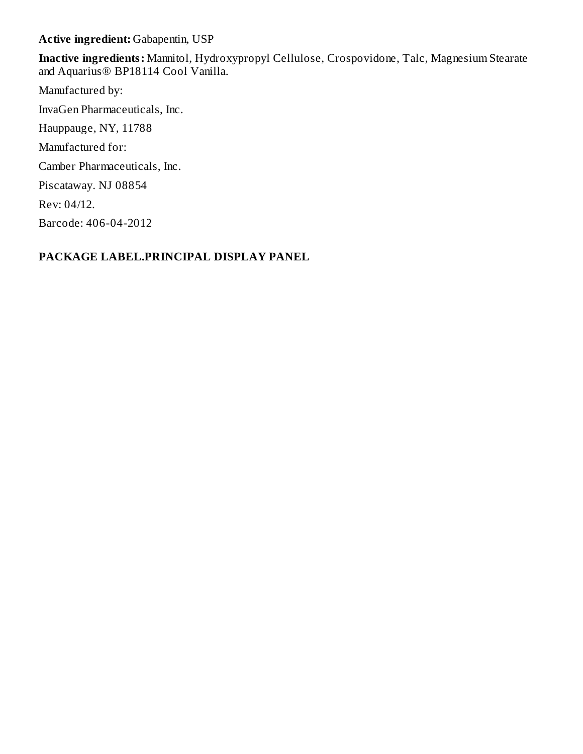**Active ingredient:** Gabapentin, USP

**Inactive ingredients:** Mannitol, Hydroxypropyl Cellulose, Crospovidone, Talc, Magnesium Stearate and Aquarius® BP18114 Cool Vanilla.

Manufactured by: InvaGen Pharmaceuticals, Inc. Hauppauge, NY, 11788 Manufactured for: Camber Pharmaceuticals, Inc. Piscataway. NJ 08854 Rev: 04/12. Barcode: 406-04-2012

## **PACKAGE LABEL.PRINCIPAL DISPLAY PANEL**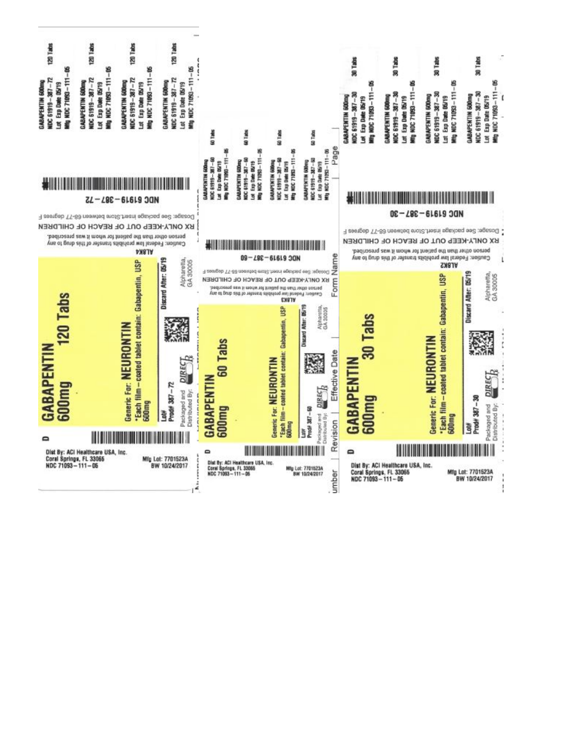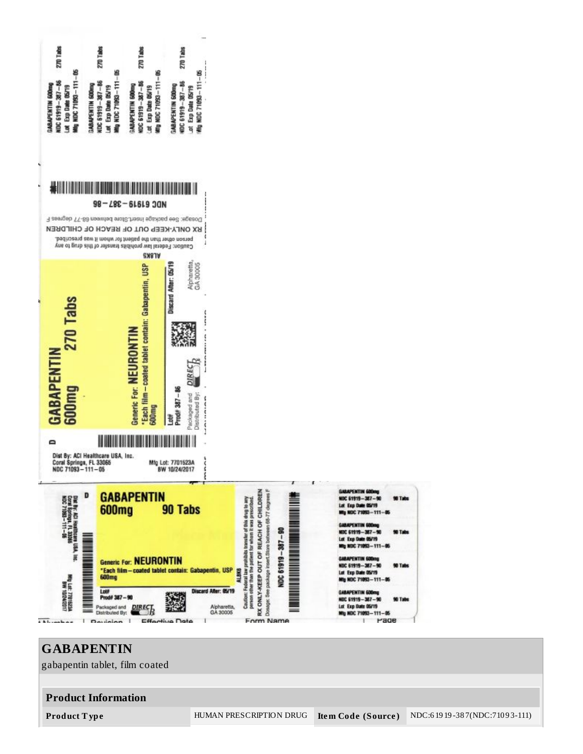

**GABAPENTIN** gabapentin tablet, film coated **Product Information Product T ype** HUMAN PRESCRIPTION DRUG **Ite m Code (Source )** NDC:6 19 19 -38 7(NDC:710 9 3-111)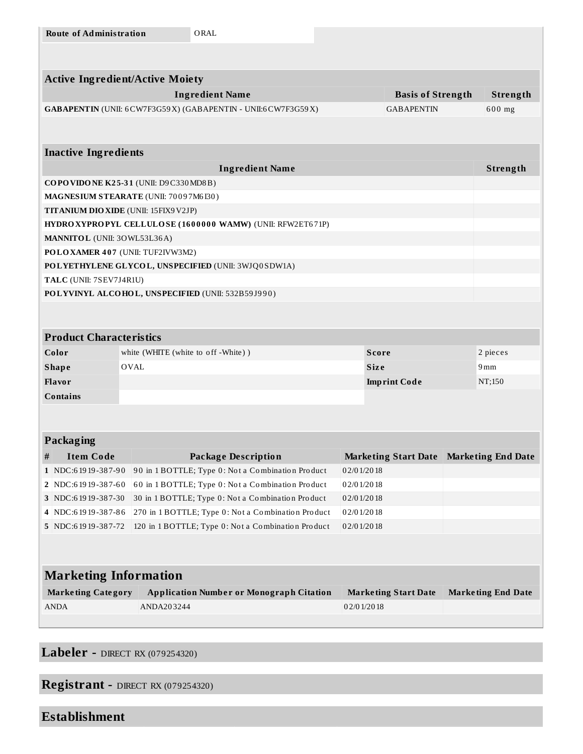| <b>Route of Administration</b>         |                                                              | ORAL                                                         |               |                                           |  |                           |
|----------------------------------------|--------------------------------------------------------------|--------------------------------------------------------------|---------------|-------------------------------------------|--|---------------------------|
|                                        |                                                              |                                                              |               |                                           |  |                           |
|                                        |                                                              |                                                              |               |                                           |  |                           |
| <b>Active Ingredient/Active Moiety</b> |                                                              |                                                              |               |                                           |  |                           |
|                                        |                                                              | <b>Ingredient Name</b>                                       |               | <b>Basis of Strength</b>                  |  | Strength                  |
|                                        |                                                              | GABAPENTIN (UNII: 6CW7F3G59X) (GABAPENTIN - UNII:6CW7F3G59X) |               | <b>GABAPENTIN</b>                         |  | 600 mg                    |
|                                        |                                                              |                                                              |               |                                           |  |                           |
|                                        |                                                              |                                                              |               |                                           |  |                           |
| <b>Inactive Ingredients</b>            |                                                              |                                                              |               |                                           |  |                           |
|                                        |                                                              | <b>Ingredient Name</b>                                       |               |                                           |  | Strength                  |
| COPOVIDONE K25-31 (UNII: D9C330MD8B)   |                                                              |                                                              |               |                                           |  |                           |
| MAGNESIUM STEARATE (UNII: 70097M6I30)  |                                                              |                                                              |               |                                           |  |                           |
| TITANIUM DIO XIDE (UNII: 15FIX9V2JP)   |                                                              |                                                              |               |                                           |  |                           |
|                                        |                                                              | HYDROXYPROPYL CELLULOSE (1600000 WAMW) (UNII: RFW2ET671P)    |               |                                           |  |                           |
| MANNITOL (UNII: 30WL53L36A)            |                                                              |                                                              |               |                                           |  |                           |
| POLOXAMER 407 (UNII: TUF2IVW3M2)       |                                                              |                                                              |               |                                           |  |                           |
|                                        |                                                              | POLYETHYLENE GLYCOL, UNSPECIFIED (UNII: 3WJQ0SDW1A)          |               |                                           |  |                           |
| TALC (UNII: 7SEV7J4R1U)                |                                                              |                                                              |               |                                           |  |                           |
|                                        |                                                              | POLYVINYL ALCOHOL, UNSPECIFIED (UNII: 532B59J990)            |               |                                           |  |                           |
|                                        |                                                              |                                                              |               |                                           |  |                           |
|                                        |                                                              |                                                              |               |                                           |  |                           |
| <b>Product Characteristics</b>         |                                                              |                                                              |               |                                           |  |                           |
|                                        | white (WHITE (white to off -White))<br><b>Score</b><br>Color |                                                              |               |                                           |  | 2 pieces                  |
| <b>Shape</b>                           | OVAL                                                         |                                                              |               | <b>Size</b>                               |  | 9mm                       |
| Flavor                                 |                                                              |                                                              |               | <b>Imprint Code</b>                       |  | NT;150                    |
| <b>Contains</b>                        |                                                              |                                                              |               |                                           |  |                           |
|                                        |                                                              |                                                              |               |                                           |  |                           |
|                                        |                                                              |                                                              |               |                                           |  |                           |
| <b>Packaging</b>                       |                                                              |                                                              |               |                                           |  |                           |
| <b>Item Code</b><br>Ħ,                 |                                                              | <b>Package Description</b>                                   |               | Marketing Start Date   Marketing End Date |  |                           |
| 1   NDC:6 19 19 - 38 7 - 90            |                                                              | 90 in 1 BOTTLE; Type 0: Not a Combination Product            | 0 2/0 1/20 18 |                                           |  |                           |
| 2 NDC:61919-387-60                     |                                                              | 60 in 1 BOTTLE; Type 0: Not a Combination Product            | 02/01/2018    |                                           |  |                           |
| 3 NDC:61919-387-30                     |                                                              | 30 in 1 BOTTLE; Type 0: Not a Combination Product            | 02/01/2018    |                                           |  |                           |
| 4 NDC:61919-387-86                     |                                                              | 270 in 1 BOTTLE; Type 0: Not a Combination Product           | 02/01/2018    |                                           |  |                           |
| 5   NDC:6 19 19 - 38 7 - 72            |                                                              | 120 in 1 BOTTLE; Type 0: Not a Combination Product           | 02/01/2018    |                                           |  |                           |
|                                        |                                                              |                                                              |               |                                           |  |                           |
|                                        |                                                              |                                                              |               |                                           |  |                           |
| <b>Marketing Information</b>           |                                                              |                                                              |               |                                           |  |                           |
| <b>Marketing Category</b>              |                                                              | <b>Application Number or Monograph Citation</b>              |               | <b>Marketing Start Date</b>               |  | <b>Marketing End Date</b> |
| <b>ANDA</b>                            | ANDA203244                                                   |                                                              | 02/01/2018    |                                           |  |                           |
|                                        |                                                              |                                                              |               |                                           |  |                           |
|                                        |                                                              |                                                              |               |                                           |  |                           |

# **Labeler -** DIRECT RX (079254320)

# **Registrant -** DIRECT RX (079254320)

# **Establishment**